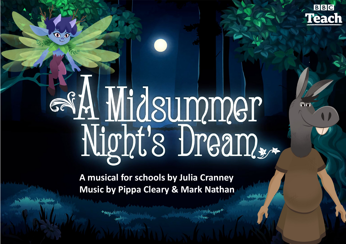

# A Midsummer<br>Night's Dream,

 $\mathbf{0}$   $\mathbf{0}$ 

**A musical for schools by Julia Cranney Music by Pippa Cleary & Mark Nathan**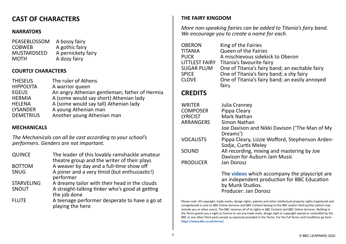# **CAST OF CHARACTERS**

# **NARRATORS**

| A bossy fairy      |
|--------------------|
| A gothic fairy     |
| A pernickety fairy |
| A dozy fairy       |
|                    |

# **COURTLY CHARACTERS**

| <b>THESEUS</b>   | The ruler of Athens                           |
|------------------|-----------------------------------------------|
| <b>HIPPOLYTA</b> | A warrior queen                               |
| <b>EGEUS</b>     | An angry Athenian gentleman; father of Hermia |
| <b>HERMIA</b>    | A (some would say short) Athenian lady        |
| <b>HELENA</b>    | A (some would say tall) Athenian lady         |
| <b>LYSANDER</b>  | A young Athenian man                          |
| <b>DEMETRIUS</b> | Another young Athenian man                    |

# **MECHANICALS**

*The Mechanicals can all be cast according to your school's performers. Genders are not important.*

| <b>QUINCE</b>     | The leader of this lovably ramshackle amateur<br>theatre group and the writer of their plays |
|-------------------|----------------------------------------------------------------------------------------------|
| <b>BOTTOM</b>     | A weaver by day and a full-time show off                                                     |
| <b>SNUG</b>       | A joiner and a very timid (but enthusiastic!)                                                |
|                   | performer                                                                                    |
| <b>STARVELING</b> | A dreamy tailor with their head in the clouds                                                |
| SNOUT             | A straight-talking tinker who's good at getting                                              |
|                   | the job done                                                                                 |
| <b>FLUTE</b>      | A teenage performer desperate to have a go at<br>playing the hero                            |

# **THE FAIRY KINGDOM**

*More non-speaking fairies can be added to Titania's fairy band. We encourage you to create a name for each.*

| <b>OBERON</b>         | King of the Fairies                                     |
|-----------------------|---------------------------------------------------------|
| <b>TITANIA</b>        | Queen of the Fairies                                    |
| <b>PUCK</b>           | A mischievous sidekick to Oberon                        |
| <b>LITTLEST FAIRY</b> | Titania's favourite fairy                               |
| <b>SUGAR PLUM</b>     | One of Titania's fairy band; an excitable fairy         |
| <b>SPICE</b>          | One of Titania's fairy band; a shy fairy                |
| <b>CLOVE</b>          | One of Titania's fairy band; an easily annoyed<br>fairy |
|                       |                                                         |

# **CREDITS**

| WRITER           | Julia Cranney                                                                                       |
|------------------|-----------------------------------------------------------------------------------------------------|
| <b>COMPOSER</b>  | Pippa Cleary                                                                                        |
| <b>LYRICIST</b>  | Mark Nathan                                                                                         |
| ARRANGERS        | Simon Nathan                                                                                        |
|                  | Joe Davison and Nikki Davison ('The Man of My<br>Dreams')                                           |
| <b>VOCALISTS</b> | Pippa Cleary, Lizzie Wofford, Stephenson Arden-<br>Sodje, Curtis Meley                              |
| SOUND            | All recording, mixing and mastering by Joe<br>Davison for Auburn Jam Music                          |
| <b>PRODUCER</b>  | Jan Dorosz                                                                                          |
|                  | The <b>videos</b> which accompany the playscript are<br>an independent production for BBC Education |

by Munk Studios.<br>Producer: Jan Dorosz

Please note: All copyright, trade marks, design rights, patents and other intellectual property rights (registered and unregistered) in and on BBC Online Services and BBC Content belong to the BBC and/or third parties (which may include you or other users). The BBC reserves all of its rights in BBC Content and BBC Online Services. Nothing in the Terms grants you a right or licence to use any trade mark, design right or copyright owned or controlled by the BBC or any other third party except as expressly provided in the Terms. For the full Terms and Conditions go here: **<https://www.bbc.co.uk/terms/>**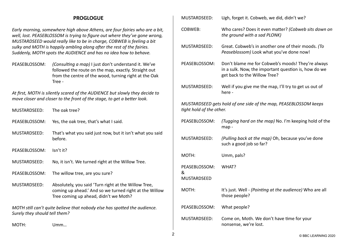## **PROGLOGUE**

*Early morning, somewhere high above Athens, are four fairies who are a bit, well, lost. PEASEBLOSSOM is trying to figure out where they've gone wrong, MUSTARDSEED would really like to be in charge, COBWEB is feeling a bit sulky and MOTH is happily ambling along after the rest of the fairies. Suddenly, MOTH spots the AUDIENCE and has no idea how to behave.*

PEASEBLOSSOM: *(Consulting a map)* I just don't understand it. We've followed the route on the map, exactly. Straight out from the centre of the wood, turning right at the Oak Tree -

*At first, MOTH is silently scared of the AUDIENCE but slowly they decide to move closer and closer to the front of the stage, to get a better look.*

| MUSTARDSEED:                                                                                               | The oak tree?                                                                                                                                           |  |
|------------------------------------------------------------------------------------------------------------|---------------------------------------------------------------------------------------------------------------------------------------------------------|--|
| PEASEBLOSSOM:                                                                                              | Yes, the oak tree, that's what I said.                                                                                                                  |  |
| MUSTARDSEED:                                                                                               | That's what you said just now, but it isn't what you said<br>before.                                                                                    |  |
| PEASEBLOSSOM:                                                                                              | $\text{Isn't it?}$                                                                                                                                      |  |
| MUSTARDSEED:                                                                                               | No, it isn't. We turned right at the Willow Tree.                                                                                                       |  |
| PEASEBLOSSOM:                                                                                              | The willow tree, are you sure?                                                                                                                          |  |
| MUSTARDSEED:                                                                                               | Absolutely, you said 'Turn right at the Willow Tree,<br>coming up ahead.' And so we turned right at the Willow<br>Tree coming up ahead, didn't we Moth? |  |
| MOTH still can't quite believe that nobody else has spotted the audience.<br>Surely they should tell them? |                                                                                                                                                         |  |

MOTH: Umm…

| MUSTARDSEED:                                                                                 | Ugh, forget it. Cobweb, we did, didn't we?                                                                                                |  |  |
|----------------------------------------------------------------------------------------------|-------------------------------------------------------------------------------------------------------------------------------------------|--|--|
| <b>COBWEB:</b>                                                                               | Who cares? Does it even matter? (Cobweb sits down on<br>the ground with a sad PLONK)                                                      |  |  |
| MUSTARDSEED:                                                                                 | Great. Cobweb's in another one of their moods. (To<br>Peaseblossom) Look what you've done now!                                            |  |  |
| PEASEBLOSSOM:                                                                                | Don't blame me for Cobweb's moods! They're always<br>in a sulk. Now, the important question is, how do we<br>get back to the Willow Tree? |  |  |
| MUSTARDSEED:                                                                                 | Well if you give me the map, I'll try to get us out of<br>here -                                                                          |  |  |
| MUSTARDSEED gets hold of one side of the map, PEASEBLOSSOM keeps<br>tight hold of the other. |                                                                                                                                           |  |  |
| PEASEBLOSSOM:                                                                                | (Tugging hard on the map) No. I'm keeping hold of the<br>map -                                                                            |  |  |
| MUSTARDSEED:                                                                                 | (Pulling back at the map) Oh, because you've done<br>such a good job so far?                                                              |  |  |
| MOTH:                                                                                        | Umm, pals?                                                                                                                                |  |  |
| PEASEBLOSSOM:<br>&<br><b>MUSTARDSEED</b>                                                     | WHAT?                                                                                                                                     |  |  |
| MOTH:                                                                                        | It's just. Well - (Pointing at the audience) Who are all<br>those people?                                                                 |  |  |
| PEASEBLOSSOM:                                                                                | What people?                                                                                                                              |  |  |
|                                                                                              | $-1$ $-1$ $-1$ $-1$ $-1$ $-1$                                                                                                             |  |  |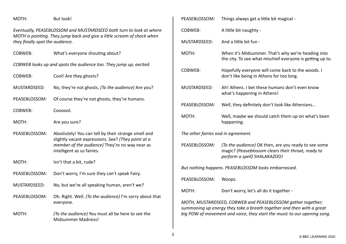*Eventually, PEASEBLOSSOM and MUSTARDSEED both turn to look at where MOTH is pointing. They jump back and give a little scream of shock when* 

*they finally spot the audience.*

COBWEB: What's everyone shouting about?

*COBWEB looks up and spots the audience too. They jump up, excited.*

COBWEB: Cool! Are they ghosts?

MUSTARDSEED: No, they're not ghosts. *(To the audience)* Are you?

PEASEBLOSSOM: Of course they're not ghosts, they're humans.

COBWEB: Coooool.

MOTH: Are you sure?

- PEASEBLOSSOM: Absolutely! You can tell by their strange smell and slightly vacant expressions. See? *(They point at a member of the audience)* They're no way near as intelligent as us fairies.
- MOTH: Isn't that a bit, rude?
- PEASEBLOSSOM: Don't worry, I'm sure they can't speak Fairy.
- MUSTARDSEED: No, but we're all speaking human, aren't we?
- PEASEBLOSSOM: Oh. Right. Well. *(To the audience)* I'm sorry about that everyone.
- MOTH: *(To the audience)* You must all be here to see the Midsummer Madness!

| PEASEBLOSSOM:                                        | Things always get a little bit magical -                                                                                                   |  |
|------------------------------------------------------|--------------------------------------------------------------------------------------------------------------------------------------------|--|
| <b>COBWEB:</b>                                       | A little bit naughty -                                                                                                                     |  |
| MUSTARDSEED:                                         | And a little bit fun -                                                                                                                     |  |
| MOTH:                                                | When it's Midsummer. That's why we're heading into<br>the city. To see what mischief everyone is getting up to.                            |  |
| <b>COBWEB:</b>                                       | Hopefully everyone will come back to the woods. I<br>don't like being in Athens for too long.                                              |  |
| MUSTARDSEED:                                         | Ah! Athens. I bet these humans don't even know<br>what's happening in Athens!                                                              |  |
| PEASEBLOSSOM:                                        | Well, they definitely don't look like Athenians                                                                                            |  |
| MOTH:                                                | Well, maybe we should catch them up on what's been<br>happening.                                                                           |  |
| The other fairies nod in agreement.                  |                                                                                                                                            |  |
| PEASEBLOSSOM:                                        | (To the audience) OK then, are you ready to see some<br>magic? (Peaseblossom clears their throat, ready to<br>perform a spell) SHALAKAZOO! |  |
| But nothing happens. PEASEBLOSSOM looks embarrassed. |                                                                                                                                            |  |
| PEASEBLOSSOM:                                        | Woops.                                                                                                                                     |  |
| MOTH:                                                | Don't worry, let's all do it together -                                                                                                    |  |
|                                                      | MOTH, MUSTARDSEED, COBWEB and PEASEBLOSSOM gather together;<br>summoning up energy they take a breath together and then with a great       |  |

*big POW of movement and voice, they start the music to our opening song.*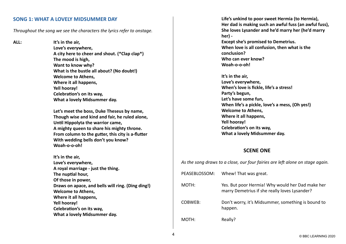#### **[SONG 1: WHAT A LOVELY MIDSUMMER DAY](https://www.bbc.co.uk/teach/school-radio/music-ks2-ks3-school-plays-musicals-a-midsummer-nights-dream-what-a-lovely-midsummer-day/zyvhm39)**

*Throughout the song we see the characters the lyrics refer to onstage.*

**ALL: It's in the air,**

**Love's everywhere, A city here to cheer and shout. (\*Clap clap\*) The mood is high, Want to know why? What is the bustle all about? (No doubt!) Welcome to Athens, Where it all happens, Yell hooray! Celebration's on its way, What a lovely Midsummer day.**

**Let's meet the boss, Duke Theseus by name, Though wise and kind and fair, he ruled alone, Until Hippolyta the warrior came, A mighty queen to share his mighty throne. From column to the gutter, this city is a-flutter With wedding bells don't you know? Woah-o-o-oh!**

**It's in the air, Love's everywhere, A royal marriage - just the thing. The nuptial hour, Of those in power, Draws on apace, and bells will ring. (Ding ding!) Welcome to Athens, Where it all happens, Yell hooray! Celebration's on its way, What a lovely Midsummer day.**

**Life's unkind to poor sweet Hermia (to Hermia), Her dad is making such an awful fuss (an awful fuss), She loves Lysander and he'd marry her (he'd marry her) -** 

**Except she's promised to Demetrius. When love is all confusion, then what is the conclusion? Who can ever know? Woah-o-o-oh!**

**It's in the air, Love's everywhere, When's love is fickle, life's a stress! Party's begun, Let's have some fun, When life's a pickle, love's a mess, (Oh yes!) Welcome to Athens, Where it all happens, Yell hooray! Celebration's on its way, What a lovely Midsummer day.**

#### **SCENE ONE**

*As the song draws to a close, our four fairies are left alone on stage again.*

| PEASEBLOSSOM: | Whew! That was great.                                                                             |
|---------------|---------------------------------------------------------------------------------------------------|
| MOTH:         | Yes. But poor Hermia! Why would her Dad make her<br>marry Demetrius if she really loves Lysander? |
| COBWEB:       | Don't worry, it's Midsummer, something is bound to<br>happen.                                     |
| MOTH:         | Really?                                                                                           |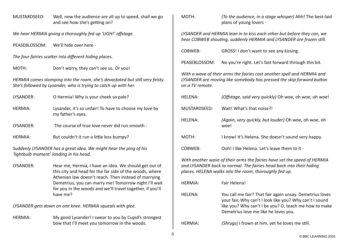| MUSTARDSEED:                                               | Well, now the audience are all up to speed, shall we go<br>and see how she's getting on?                                                                                 | MOTH:          | (To the audience, in a stage whisper) Ahh! The best-laid<br>plans of young lovers -                                                                                                                        |
|------------------------------------------------------------|--------------------------------------------------------------------------------------------------------------------------------------------------------------------------|----------------|------------------------------------------------------------------------------------------------------------------------------------------------------------------------------------------------------------|
| We hear HERMIA giving a thoroughly fed up 'UGH!' offstage. |                                                                                                                                                                          |                | LYSANDER and HERMIA lean in to kiss each other but before they can, we<br>hear COBWEB shouting, suddenly HERMIA and LYSANDER are frozen still.                                                             |
| PEASEBLOSSOM:                                              | We'll hide over here -                                                                                                                                                   | COBWEB:        |                                                                                                                                                                                                            |
|                                                            | The four fairies scatter into different hiding places.                                                                                                                   |                | GROSS! I don't want to see any kissing.                                                                                                                                                                    |
| MOTH:                                                      | Don't worry, they can't see us. Or you!                                                                                                                                  | PEASEBLOSSOM:  | No you're right. Let's fast forward through this bit.                                                                                                                                                      |
|                                                            | HERMIA comes stomping into the room, she's devastated but still very feisty.<br>She's followed by Lysander, who is trying to catch up with her.                          |                | With a wave of their arms the fairies cast another spell and HERMIA and<br>LYSANDER are moving like somebody has pressed the skip forward button                                                           |
| LYSANDER:                                                  | O Hermia! Why is your cheek so pale?                                                                                                                                     | <b>HELENA:</b> | (Offstage, said very quickly) Oh woe, oh woe, oh woe!                                                                                                                                                      |
| <b>HERMIA:</b>                                             | Lysander, it's so unfair! To have to choose my love by<br>my father's eyes.                                                                                              | MUSTARDSEED:   | Wait! What's that noise?!                                                                                                                                                                                  |
| LYSANDER:                                                  | The course of true love never did run smooth -                                                                                                                           | <b>HELENA:</b> | (Again, very quickly, but louder) Oh woe, oh woe, oh<br>woe!                                                                                                                                               |
| <b>HERMIA:</b>                                             | But couldn't it run a little less bumpy?                                                                                                                                 | MOTH:          | I know! It's Helena. She doesn't sound very happy.                                                                                                                                                         |
|                                                            | Suddenly LYSANDER has a great idea. We might hear the ping of his<br>'lightbulb moment' landing in his head.                                                             | COBWEB:        | Ooh! I like Helena. Let's leave them to it -                                                                                                                                                               |
| LYSANDER:                                                  | Hear me, Hermia, I have an idea. We should get out of<br>this city and head for the far side of the woods, where<br>Athenian law doesn't reach. Then instead of marrying |                | With another wave of their arms the fairies have set the speed of HERMIA<br>and LYSANDER back to normal. The fairies head back into their hiding<br>places. HELENA walks into the room, thoroughly fed up. |
|                                                            | Demetrius, you can marry me! Tomorrow night I'll wait<br>for you in the woods and we'll travel together, if you'll                                                       | <b>HERMIA:</b> | Fair Helena!                                                                                                                                                                                               |
|                                                            | have me?                                                                                                                                                                 | <b>HELENA:</b> | You call me fair? That fair again unsay. Demetrius loves<br>your fair. Why can't I look like you? Why can't I sound                                                                                        |
|                                                            | LYSANDER gets down on one knee. HERMIA squeals with glee.                                                                                                                |                | like you? Why can't I be you? O, teach me how to make<br>Demetrius love me like he loves you.                                                                                                              |
| <b>HERMIA:</b>                                             | My good Lysander! I swear to you by Cupid's strongest<br>bow that I'll meet you tomorrow in the woods.                                                                   | HERMIA:        | (Shrugs) I frown at him, yet he loves me still.                                                                                                                                                            |
|                                                            |                                                                                                                                                                          |                |                                                                                                                                                                                                            |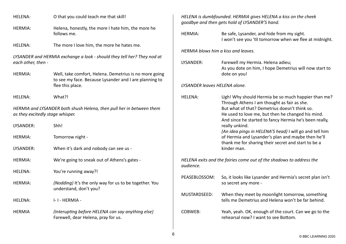| <b>HELENA:</b>                                                                                           | O that you could teach me that skill!                                                                            | HELENA is dumbfounded. HERMIA gives HELENA a kiss on the cheek<br>goodbye and then gets hold of LYSANDER'S hand. |                                                                                                                                     |
|----------------------------------------------------------------------------------------------------------|------------------------------------------------------------------------------------------------------------------|------------------------------------------------------------------------------------------------------------------|-------------------------------------------------------------------------------------------------------------------------------------|
|                                                                                                          |                                                                                                                  |                                                                                                                  |                                                                                                                                     |
| <b>HERMIA:</b>                                                                                           | Helena, honestly, the more I hate him, the more he<br>follows me.                                                | <b>HERMIA:</b>                                                                                                   | Be safe, Lysander, and hide from my sight.<br>I won't see you 'til tomorrow when we flee at midnight.                               |
| <b>HELENA:</b>                                                                                           | The more I love him, the more he hates me.                                                                       |                                                                                                                  |                                                                                                                                     |
|                                                                                                          |                                                                                                                  |                                                                                                                  | HERMIA blows him a kiss and leaves.                                                                                                 |
| LYSANDER and HERMIA exchange a look - should they tell her? They nod at<br>each other, then -            |                                                                                                                  | LYSANDER:                                                                                                        | Farewell my Hermia. Helena adieu;<br>As you dote on him, I hope Demetrius will now start to                                         |
| <b>HERMIA:</b>                                                                                           | Well, take comfort, Helena. Demetrius is no more going<br>to see my face. Because Lysander and I are planning to |                                                                                                                  | dote on you!                                                                                                                        |
|                                                                                                          | flee this place.                                                                                                 | LYSANDER leaves HELENA alone.                                                                                    |                                                                                                                                     |
| <b>HELENA:</b>                                                                                           | What?!                                                                                                           | <b>HELENA:</b>                                                                                                   | Ugh! Why should Hermia be so much happier than me?<br>Through Athens I am thought as fair as she.                                   |
| HERMIA and LYSANDER both shush Helena, then pull her in between them<br>as they excitedly stage whisper. |                                                                                                                  |                                                                                                                  | But what of that? Demetrius doesn't think so.<br>He used to love me, but then he changed his mind.                                  |
| LYSANDER:                                                                                                | Shh!                                                                                                             |                                                                                                                  | And since he started to fancy Hermia he's been really,<br>really unkind.<br>(An idea pings in HELENA'S head) I will go and tell him |
| <b>HERMIA:</b>                                                                                           | Tomorrow night -                                                                                                 |                                                                                                                  | of Hermia and Lysander's plan and maybe then he'll<br>thank me for sharing their secret and start to be a                           |
| LYSANDER:                                                                                                | When it's dark and nobody can see us -                                                                           |                                                                                                                  | kinder man.                                                                                                                         |
| <b>HERMIA:</b>                                                                                           | We're going to sneak out of Athens's gates -                                                                     | HELENA exits and the fairies come out of the shadows to address the<br>audience.                                 |                                                                                                                                     |
| <b>HELENA:</b>                                                                                           | You're running away?!                                                                                            |                                                                                                                  |                                                                                                                                     |
| <b>HERMIA:</b>                                                                                           | (Nodding) It's the only way for us to be together. You<br>understand, don't you?                                 | PEASEBLOSSOM:                                                                                                    | So, it looks like Lysander and Hermia's secret plan isn't<br>so secret any more -                                                   |
| <b>HELENA:</b>                                                                                           | I-I-HERMIA-                                                                                                      | MUSTARDSEED:                                                                                                     | When they meet by moonlight tomorrow, something<br>tells me Demetrius and Helena won't be far behind.                               |
| <b>HERMIA</b>                                                                                            | (Interupting before HELENA can say anything else)<br>Farewell, dear Helena, pray for us.                         | COBWEB:                                                                                                          | Yeah, yeah. OK, enough of the court. Can we go to the<br>rehearsal now? I want to see Bottom.                                       |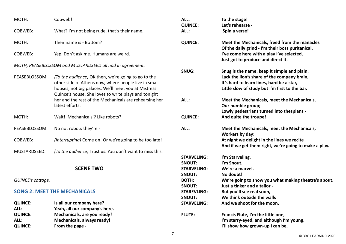| MOTH:                               | Cobweb!                                                                                                     | ALL:<br><b>QUINCE:</b>        | To the stage!<br>Let's rehearse -                                                                   |
|-------------------------------------|-------------------------------------------------------------------------------------------------------------|-------------------------------|-----------------------------------------------------------------------------------------------------|
| <b>COBWEB:</b>                      | What? I'm not being rude, that's their name.                                                                | ALL:                          | Spin a verse!                                                                                       |
| MOTH:                               | Their name is - Bottom?                                                                                     | <b>QUINCE:</b>                | Meet the Mechanicals, freed from the manacles<br>Of the daily grind - I'm their boss puritanical.   |
| <b>COBWEB:</b>                      | Yep. Don't ask me. Humans are weird.                                                                        |                               | I've come here with a play I've selected,<br>Just got to produce and direct it.                     |
|                                     | MOTH, PEASEBLOSSOM and MUSTARDSEED all nod in agreement.                                                    |                               |                                                                                                     |
|                                     |                                                                                                             | SNUG:                         | Snug is the name, keep it simple and plain,                                                         |
| PEASEBLOSSOM:                       | (To the audience) OK then, we're going to go to the                                                         |                               | Lack the lion's share of the company brain,                                                         |
|                                     | other side of Athens now, where people live in small                                                        |                               | It's hard to learn lines, hard be a star,                                                           |
|                                     | houses, not big palaces. We'll meet you at Mistress<br>Quince's house. She loves to write plays and tonight |                               | Little slow of study but I'm first to the bar.                                                      |
|                                     | her and the rest of the Mechanicals are rehearsing her                                                      | ALL:                          | Meet the Mechanicals, meet the Mechanicals,                                                         |
|                                     | latest efforts.                                                                                             |                               | Our humble group;                                                                                   |
|                                     |                                                                                                             |                               | Lowly pedestrians turned into thespians -                                                           |
| MOTH:                               | Wait! 'Mechanicals'? Like robots?                                                                           | <b>QUINCE:</b>                | And quite the troupe!                                                                               |
| PEASEBLOSSOM:                       | No not robots they're -                                                                                     | ALL:                          | Meet the Mechanicals, meet the Mechanicals,<br>Workers by day;                                      |
| <b>COBWEB:</b>                      | (Interrupting) Come on! Or we're going to be too late!                                                      |                               | At night we delight in the lines we recite<br>And if we get them right, we're going to make a play. |
| MUSTARDSEED:                        | (To the audience) Trust us. You don't want to miss this.                                                    |                               |                                                                                                     |
|                                     |                                                                                                             | <b>STARVELING:</b>            | I'm Starveling.                                                                                     |
|                                     |                                                                                                             | <b>SNOUT:</b>                 | I'm Snout.                                                                                          |
|                                     | <b>SCENE TWO</b>                                                                                            | <b>STARVELING:</b>            | We're a marvel.                                                                                     |
| QUINCE's cottage.                   |                                                                                                             | <b>SNOUT:</b><br><b>BOTH:</b> | No doubt!<br>We're going to show you what making theatre's about.                                   |
|                                     |                                                                                                             | <b>SNOUT:</b>                 | Just a tinker and a tailor -                                                                        |
| <b>SONG 2: MEET THE MECHANICALS</b> |                                                                                                             | <b>STAREVLING:</b>            | But you'll see real soon,                                                                           |
|                                     |                                                                                                             | <b>SNOUT:</b>                 | We think outside the walls                                                                          |
| <b>QUINCE:</b>                      | Is all our company here?                                                                                    | <b>STARVELING:</b>            | And we shoot for the moon.                                                                          |
| ALL:                                | Yeah, all our company's here.                                                                               |                               |                                                                                                     |
| <b>QUINCE:</b>                      | Mechanicals, are you ready?                                                                                 | <b>FLUTE:</b>                 | Francis Flute, I'm the little one,                                                                  |
| ALL:                                | Mechanicals, always ready!                                                                                  |                               | I'm starry-eyed, and although I'm young,                                                            |
| <b>QUINCE:</b>                      | From the page -                                                                                             |                               | I'll show how grown-up I can be,                                                                    |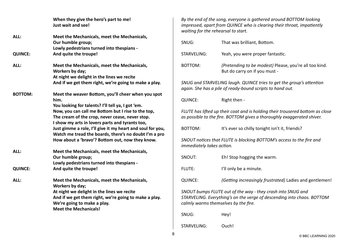|                | When they give the hero's part to me!<br>Just wait and see!                                                                                                            |                           | By the end of the song, everyone is gathered around BOTTOM looking<br>impressed, apart from QUINCE who is clearing their throat, impatiently<br>waiting for the rehearsal to start. |
|----------------|------------------------------------------------------------------------------------------------------------------------------------------------------------------------|---------------------------|-------------------------------------------------------------------------------------------------------------------------------------------------------------------------------------|
| ALL:           | Meet the Mechanicals, meet the Mechanicals,<br>Our humble group;<br>Lowly pedestrians turned into thespians -                                                          | SNUG:                     | That was brilliant, Bottom.                                                                                                                                                         |
| <b>QUINCE:</b> | And quite the troupe!                                                                                                                                                  | <b>STARVELING:</b>        | Yeah, you were proper fantastic.                                                                                                                                                    |
| ALL:           | Meet the Mechanicals, meet the Mechanicals,<br>Workers by day;<br>At night we delight in the lines we recite                                                           | BOTTOM:                   | (Pretending to be modest) Please, you're all too kind.<br>But do carry on if you must -                                                                                             |
|                | And if we get them right, we're going to make a play.                                                                                                                  |                           | SNUG and STARVELING laugh. QUINCE tries to get the group's attention<br>again. She has a pile of ready-bound scripts to hand out.                                                   |
| <b>BOTTOM:</b> | Meet the weaver Bottom, you'll cheer when you spot<br>him.                                                                                                             | <b>QUINCE:</b>            | Right then -                                                                                                                                                                        |
|                | You looking for talents? I'll tell ya, I got 'em.<br>Now, you can call me Bottom but I rise to the top,<br>The cream of the crop, never cease, never stop.             |                           | FLUTE has lifted up their coat and is holding their trousered bottom as close<br>as possible to the fire. BOTTOM gives a thoroughly exaggerated shiver.                             |
|                | I show my arts in lovers parts and tyrants too,<br>Just gimme a role, I'll give it my heart and soul for you,<br>Watch me tread the boards, there's no doubt I'm a pro | BOTTOM:                   | It's ever so chilly tonight isn't it, friends?                                                                                                                                      |
|                | How about a 'bravo'? Bottom out, now they know.                                                                                                                        | immediately takes action. | SNOUT notices that FLUTE is blocking BOTTOM's access to the fire and                                                                                                                |
| ALL:           | Meet the Mechanicals, meet the Mechanicals,<br>Our humble group;<br>Lowly pedestrians turned into thespians -                                                          | SNOUT:                    | Eh! Stop hogging the warm.                                                                                                                                                          |
| <b>QUINCE:</b> | And quite the troupe!                                                                                                                                                  | <b>FLUTE:</b>             | I'll only be a minute.                                                                                                                                                              |
| ALL:           | Meet the Mechanicals, meet the Mechanicals,<br>Workers by day;                                                                                                         | <b>QUINCE:</b>            | (Getting increasingly frustrated) Ladies and gentlemen!                                                                                                                             |
|                | At night we delight in the lines we recite<br>And if we get them right, we're going to make a play.<br>We're going to make a play.<br><b>Meet the Mechanicals!</b>     |                           | SNOUT bumps FLUTE out of the way - they crash into SNUG and<br>STARVELING. Everything's on the verge of descending into chaos. BOTTOM<br>calmly warms themselves by the fire.       |
|                |                                                                                                                                                                        | SNUG:                     | Hey!                                                                                                                                                                                |

STARVELING: Ouch!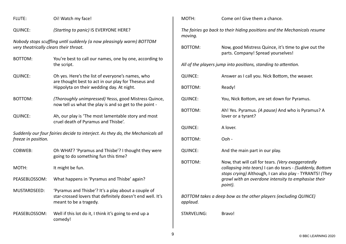QUINCE: *(Starting to panic)* IS EVERYONE HERE?

*Nobody stops scuffling until suddenly (a now pleasingly warm) BOTTOM very theatrically clears their throat.*

- BOTTOM: You're best to call our names, one by one, according to the script.
- QUINCE: Oh yes. Here's the list of everyone's names, who are thought best to act in our play for Theseus and Hippolyta on their wedding day. At night.
- BOTTOM: *(Thoroughly unimpressed)* Yesss, good Mistress Quince, now tell us what the play is and so get to the point -
- QUINCE: Ah, our play is 'The most lamentable story and most cruel death of Pyramus and Thisbe'.

*Suddenly our four fairies decide to interject. As they do, the Mechanicals all freeze in position.*

- COBWEB: Oh WHAT? 'Pyramus and Thisbe'? I thought they were going to do something fun this time?
- MOTH: It might be fun.
- PEASEBLOSSOM: What happens in 'Pyramus and Thisbe' again?
- MUSTARDSEED: 'Pyramus and Thisbe'? It's a play about a couple of star-crossed lovers that definitely doesn't end well. It's meant to be a tragedy.
- PEASEBLOSSOM: Well if this lot do it, I think it's going to end up a comedy!

MOTH: Come on! Give them a chance.

*The fairies go back to their hiding positions and the Mechanicals resume moving.*

BOTTOM: Now, good Mistress Quince, it's time to give out the parts. Company! Spread yourselves!

*All of the players jump into positions, standing to attention.*

| <b>QUINCE:</b> | Answer as I call you. Nick Bottom, the weaver.                                                                                                                                                                                                |
|----------------|-----------------------------------------------------------------------------------------------------------------------------------------------------------------------------------------------------------------------------------------------|
| <b>BOTTOM:</b> | Ready!                                                                                                                                                                                                                                        |
| <b>QUINCE:</b> | You, Nick Bottom, are set down for Pyramus.                                                                                                                                                                                                   |
| <b>BOTTOM:</b> | Ah! Yes. Pyramus. (A pause) And who is Pyramus? A<br>lover or a tyrant?                                                                                                                                                                       |
| <b>QUINCE:</b> | A lover.                                                                                                                                                                                                                                      |
| BOTTOM:        | Ooh -                                                                                                                                                                                                                                         |
| <b>QUINCE:</b> | And the main part in our play.                                                                                                                                                                                                                |
| <b>BOTTOM:</b> | Now, that will call for tears. (Very exaggeratedly<br>collapsing into tears) I can do tears - (Suddenly, Bottom<br>stops crying) Although, I can also play - TYRANTS! (They<br>growl with an overdone intensity to emphasise their<br>point). |
| applaud.       | BOTTOM takes a deep bow as the other players (excluding QUINCE)                                                                                                                                                                               |
| STARVELING:    | Bravo!                                                                                                                                                                                                                                        |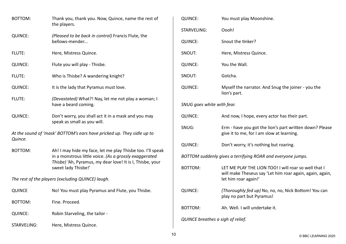| <b>BOTTOM:</b>                                    | Thank you, thank you. Now, Quince, name the rest of<br>the players.                                                                                                                                      |  |
|---------------------------------------------------|----------------------------------------------------------------------------------------------------------------------------------------------------------------------------------------------------------|--|
| <b>QUINCE:</b>                                    | (Pleased to be back in control) Francis Flute, the<br>bellows-mender                                                                                                                                     |  |
| FLUTE:                                            | Here, Mistress Quince.                                                                                                                                                                                   |  |
| <b>QUINCE:</b>                                    | Flute you will play - Thisbe.                                                                                                                                                                            |  |
| FLUTE:                                            | Who is Thisbe? A wandering knight?                                                                                                                                                                       |  |
| <b>QUINCE:</b>                                    | It is the lady that Pyramus must love.                                                                                                                                                                   |  |
| <b>FLUTE:</b>                                     | (Devastated) What?! Nay, let me not play a woman; I<br>have a beard coming.                                                                                                                              |  |
| <b>QUINCE:</b>                                    | Don't worry, you shall act it in a mask and you may<br>speak as small as you will.                                                                                                                       |  |
| Quince.                                           | At the sound of 'mask' BOTTOM's ears have pricked up. They sidle up to                                                                                                                                   |  |
| BOTTOM:                                           | Ah! I may hide my face, let me play Thisbe too. I'll speak<br>in a monstrous little voice. (As a grossly exaggerated<br>Thisbe) 'Ah, Pyramus, my dear love! It is I, Thisbe, your<br>sweet lady Thisbe!' |  |
| The rest of the players (excluding QUINCE) laugh. |                                                                                                                                                                                                          |  |
| <b>QUINCE</b>                                     | No! You must play Pyramus and Flute, you Thisbe.                                                                                                                                                         |  |
| <b>BOTTOM:</b>                                    | Fine. Proceed.                                                                                                                                                                                           |  |
| <b>QUINCE:</b>                                    | Robin Starveling, the tailor -                                                                                                                                                                           |  |
| STARVELING:                                       | Here, Mistress Quince.                                                                                                                                                                                   |  |

| <b>QUINCE:</b>                                              | You must play Moonshine.                                                                                                                 |  |
|-------------------------------------------------------------|------------------------------------------------------------------------------------------------------------------------------------------|--|
| <b>STARVELING:</b>                                          | Oooh!                                                                                                                                    |  |
| <b>QUINCE:</b>                                              | Snout the tinker?                                                                                                                        |  |
| SNOUT:                                                      | Here, Mistress Quince.                                                                                                                   |  |
| <b>QUINCE:</b>                                              | You the Wall.                                                                                                                            |  |
| SNOUT:                                                      | Gotcha.                                                                                                                                  |  |
| <b>QUINCE:</b>                                              | Myself the narrator. And Snug the joiner - you the<br>lion's part.                                                                       |  |
| SNUG goes white with fear.                                  |                                                                                                                                          |  |
| <b>QUINCE:</b>                                              | And now, I hope, every actor has their part.                                                                                             |  |
| SNUG:                                                       | Erm - have you got the lion's part written down? Please<br>give it to me, for I am slow at learning.                                     |  |
| <b>QUINCE:</b>                                              | Don't worry, it's nothing but roaring.                                                                                                   |  |
| BOTTOM suddenly gives a terrifying ROAR and everyone jumps. |                                                                                                                                          |  |
| <b>BOTTOM:</b>                                              | LET ME PLAY THE LION TOO! I will roar so well that I<br>will make Theseus say 'Let him roar again, again, again,<br>let him roar again!' |  |
| <b>QUINCE:</b>                                              | (Thoroughly fed up) No, no, no, Nick Bottom! You can<br>play no part but Pyramus!                                                        |  |
| <b>BOTTOM:</b>                                              | Ah. Well. I will undertake it.                                                                                                           |  |
| QUINCE breathes a sigh of relief.                           |                                                                                                                                          |  |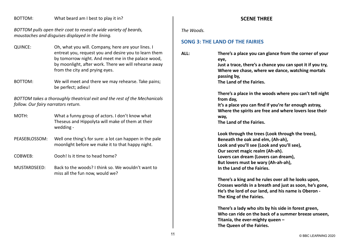#### BOTTOM: What beard am I best to play it in?

*BOTTOM pulls open their coat to reveal a wide variety of beards, moustaches and disguises displayed in the lining.*

- QUINCE: Oh, what you will. Company, here are your lines. I entreat you, request you and desire you to learn them by tomorrow night. And meet me in the palace wood, by moonlight, after work. There we will rehearse away from the city and prying eyes.
- BOTTOM: We will meet and there we may rehearse. Take pains; be perfect; adieu!

*BOTTOM takes a thoroughly theatrical exit and the rest of the Mechanicals follow. Our fairy narrators return.*

- MOTH: What a funny group of actors. I don't know what Theseus and Hippolyta will make of them at their wedding -
- PEASEBLOSSOM: Well one thing's for sure: a lot can happen in the pale moonlight before we make it to that happy night.
- COBWEB: Oooh! Is it time to head home?
- MUSTARDSEED: Back to the woods? I think so. We wouldn't want to miss all the fun now, would we?

#### **SCENE THREE**

*The Woods.*

## **[SONG 3: THE LAND OF THE FAIRIES](https://www.bbc.co.uk/teach/school-radio/music-ks2-ks3-school-plays-musicals-a-midsummer-nights-dream-the-land-of-the-fairies/zqxjkty)**

**ALL: There's a place you can glance from the corner of your eye, Just a trace, there's a chance you can spot it if you try, Where we chase, where we dance, watching mortals passing by, The Land of the Fairies. There's a place in the woods where you can't tell night from day, It's a place you can find if you're far enough astray, Where the spirits are free and where lovers lose their way, The Land of the Fairies. Look through the trees (Look through the trees), Beneath the oak and elm, (Ah-ah),**

**Look and you'll see (Look and you'll see), Our secret magic realm (Ah-ah). Lovers can dream (Lovers can dream), But lovers must be wary (Ah-ah-ah), In the Land of the Fairies.**

**There's a king and he rules over all he looks upon, Crosses worlds in a breath and just as soon, he's gone, He's the lord of our land, and his name is Oberon - The King of the Fairies.**

**There's a lady who sits by his side in forest green, Who can ride on the back of a summer breeze unseen, Titania, the ever-mighty queen – The Queen of the Fairies.**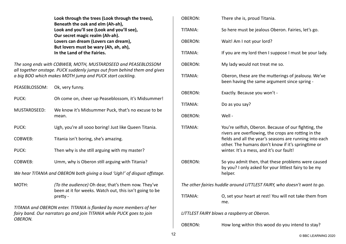|                | Look through the trees (Look through the trees),<br>Beneath the oak and elm (Ah-ah),                                                         | <b>OBERON</b>   |
|----------------|----------------------------------------------------------------------------------------------------------------------------------------------|-----------------|
|                | Look and you'll see (Look and you'll see),<br>Our secret magic realm (Ah-ah).                                                                | TITANIA:        |
|                | Lovers can dream (Lovers can dream),<br>But lovers must be wary (Ah, ah, ah),                                                                | <b>OBERON</b>   |
|                | In the Land of the Fairies.                                                                                                                  | TITANIA:        |
|                | The song ends with COBWEB, MOTH, MUSTARDSEED and PEASEBLOSSOM<br>all together onstage. PUCK suddenly jumps out from behind them and gives    | <b>OBERON</b>   |
|                | a big BOO which makes MOTH jump and PUCK start cackling.                                                                                     | TITANIA:        |
| PEASEBLOSSOM:  | Ok, very funny.                                                                                                                              | <b>OBERON</b>   |
| PUCK:          | Oh come on, cheer up Peaseblossom, it's Midsummer!                                                                                           |                 |
| MUSTARDSEED:   | We know it's Midsummer Puck, that's no excuse to be                                                                                          | TITANIA:        |
|                | mean.                                                                                                                                        | <b>OBERON</b>   |
| PUCK:          | Ugh, you're all sooo boring! Just like Queen Titania.                                                                                        | TITANIA:        |
| <b>COBWEB:</b> | Titania isn't boring, she's amazing.                                                                                                         |                 |
| PUCK:          | Then why is she still arguing with my master?                                                                                                |                 |
| <b>COBWEB:</b> | Umm, why is Oberon still arguing with Titania?                                                                                               | <b>OBERON</b>   |
|                | We hear TITANIA and OBERON both giving a loud 'Ugh!' of disgust offstage.                                                                    |                 |
| MOTH:          | (To the audience) Oh dear, that's them now. They've<br>been at it for weeks. Watch out, this isn't going to be                               | The othe        |
|                | pretty                                                                                                                                       | TITANIA:        |
|                | TITANIA and OBERON enter. TITANIA is flanked by more members of her<br>fairy band. Our narrators go and join TITANIA while PUCK goes to join | <b>LITTLEST</b> |
| OBERON.        |                                                                                                                                              |                 |
|                |                                                                                                                                              | <b>OBERON</b>   |

| <b>OBERON:</b>                                                          | There she is, proud Titania.                                                                                                                                                                                                                                              |  |
|-------------------------------------------------------------------------|---------------------------------------------------------------------------------------------------------------------------------------------------------------------------------------------------------------------------------------------------------------------------|--|
| TITANIA:                                                                | So here must be jealous Oberon. Fairies, let's go.                                                                                                                                                                                                                        |  |
| <b>OBERON:</b>                                                          | Wait! Am I not your lord?                                                                                                                                                                                                                                                 |  |
| TITANIA:                                                                | If you are my lord then I suppose I must be your lady.                                                                                                                                                                                                                    |  |
| <b>OBERON:</b>                                                          | My lady would not treat me so.                                                                                                                                                                                                                                            |  |
| TITANIA:                                                                | Oberon, these are the mutterings of jealousy. We've<br>been having the same argument since spring -                                                                                                                                                                       |  |
| <b>OBERON:</b>                                                          | Exactly. Because you won't -                                                                                                                                                                                                                                              |  |
| TITANIA:                                                                | Do as you say?                                                                                                                                                                                                                                                            |  |
| <b>OBERON:</b>                                                          | Well -                                                                                                                                                                                                                                                                    |  |
| TITANIA:                                                                | You're selfish, Oberon. Because of our fighting, the<br>rivers are overflowing, the crops are rotting in the<br>fields and all the year's seasons are running into each<br>other. The humans don't know if it's springtime or<br>winter. It's a mess, and it's our fault! |  |
| OBERON:                                                                 | So you admit then, that these problems were caused<br>by you? I only asked for your littlest fairy to be my<br>helper.                                                                                                                                                    |  |
| The other fairies huddle around LITTLEST FAIRY, who doesn't want to go. |                                                                                                                                                                                                                                                                           |  |
| TITANIA:                                                                | O, set your heart at rest! You will not take them from<br>me.                                                                                                                                                                                                             |  |
| LITTLEST FAIRY blows a raspberry at Oberon.                             |                                                                                                                                                                                                                                                                           |  |
| <b>OBERON:</b>                                                          | How long within this wood do you intend to stay?                                                                                                                                                                                                                          |  |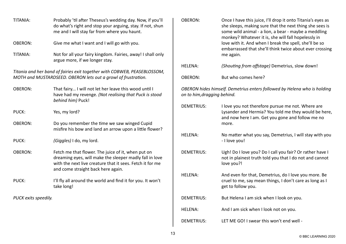| TITANIA:                                                                                                                                  | Probably 'til after Theseus's wedding day. Now, if you'll<br>do what's right and stop your arguing, stay. If not, shun<br>me and I will stay far from where you haunt.                                           |  |
|-------------------------------------------------------------------------------------------------------------------------------------------|------------------------------------------------------------------------------------------------------------------------------------------------------------------------------------------------------------------|--|
| <b>OBERON:</b>                                                                                                                            | Give me what I want and I will go with you.                                                                                                                                                                      |  |
| TITANIA:                                                                                                                                  | Not for all your fairy kingdom. Fairies, away! I shall only<br>argue more, if we longer stay.                                                                                                                    |  |
| Titania and her band of fairies exit together with COBWEB, PEASEBLOSSOM,<br>MOTH and MUSTARDSEED. OBERON lets out a growl of frustration. |                                                                                                                                                                                                                  |  |
| <b>OBERON:</b>                                                                                                                            | That fairy I will not let her leave this wood until I<br>have had my revenge. (Not realising that Puck is stood<br>behind him) Puck!                                                                             |  |
| PUCK:                                                                                                                                     | Yes, my lord?                                                                                                                                                                                                    |  |
| <b>OBERON:</b>                                                                                                                            | Do you remember the time we saw winged Cupid<br>misfire his bow and land an arrow upon a little flower?                                                                                                          |  |
| PUCK:                                                                                                                                     | (Giggles) I do, my lord.                                                                                                                                                                                         |  |
| <b>OBERON:</b>                                                                                                                            | Fetch me that flower. The juice of it, when put on<br>dreaming eyes, will make the sleeper madly fall in love<br>with the next live creature that it sees. Fetch it for me<br>and come straight back here again. |  |
| PUCK:                                                                                                                                     | I'll fly all around the world and find it for you. It won't<br>take long!                                                                                                                                        |  |
| PUCK exits speedily.                                                                                                                      |                                                                                                                                                                                                                  |  |
|                                                                                                                                           |                                                                                                                                                                                                                  |  |

| <b>OBERON:</b>              | Once I have this juice, I'll drop it onto Titania's eyes as<br>she sleeps, making sure that the next thing she sees is<br>some wild animal - a lion, a bear - maybe a meddling<br>monkey? Whatever it is, she will fall hopelessly in<br>love with it. And when I break the spell, she'll be so<br>embarrassed that she'll think twice about ever crossing<br>me again. |
|-----------------------------|-------------------------------------------------------------------------------------------------------------------------------------------------------------------------------------------------------------------------------------------------------------------------------------------------------------------------------------------------------------------------|
| <b>HELENA:</b>              | (Shouting from offstage) Demetrius, slow down!                                                                                                                                                                                                                                                                                                                          |
| <b>OBERON:</b>              | But who comes here?                                                                                                                                                                                                                                                                                                                                                     |
| on to him, dragging behind. | OBERON hides himself. Demetrius enters followed by Helena who is holding                                                                                                                                                                                                                                                                                                |
| <b>DEMETRIUS:</b>           | I love you not therefore pursue me not. Where are<br>Lysander and Hermia? You told me they would be here,<br>and now here I am. Get you gone and follow me no<br>more.                                                                                                                                                                                                  |
| <b>HELENA:</b>              | No matter what you say, Demetrius, I will stay with you<br>- I love you!                                                                                                                                                                                                                                                                                                |
| <b>DEMETRIUS:</b>           | Ugh! Do I love you? Do I call you fair? Or rather have I<br>not in plainest truth told you that I do not and cannot<br>love you?!                                                                                                                                                                                                                                       |
| <b>HELENA:</b>              | And even for that, Demetrius, do I love you more. Be<br>cruel to me, say mean things, I don't care as long as I<br>get to follow you.                                                                                                                                                                                                                                   |
| <b>DEMETRIUS:</b>           | But Helena I am sick when I look on you.                                                                                                                                                                                                                                                                                                                                |
| <b>HELENA:</b>              | And I am sick when I look not on you.                                                                                                                                                                                                                                                                                                                                   |
| <b>DEMETRIUS:</b>           | LET ME GO! I swear this won't end well -                                                                                                                                                                                                                                                                                                                                |
|                             |                                                                                                                                                                                                                                                                                                                                                                         |

- I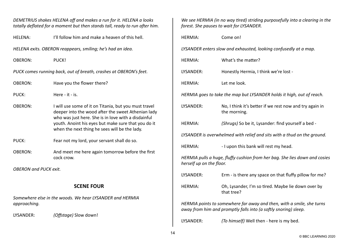| DEMETRIUS shakes HELENA off and makes a run for it. HELENA a looks<br>totally deflated for a moment but then stands tall, ready to run after him. |                                                                                                                                                                    | We see HERMIA (in no way tired) striding purposefully into a clearing in the<br>forest. She pauses to wait for LYSANDER. |                                                                                                                                          |  |
|---------------------------------------------------------------------------------------------------------------------------------------------------|--------------------------------------------------------------------------------------------------------------------------------------------------------------------|--------------------------------------------------------------------------------------------------------------------------|------------------------------------------------------------------------------------------------------------------------------------------|--|
| <b>HELENA:</b>                                                                                                                                    | I'll follow him and make a heaven of this hell.                                                                                                                    | <b>HERMIA:</b>                                                                                                           | Come on!                                                                                                                                 |  |
| HELENA exits. OBERON reappears, smiling; he's had an idea.                                                                                        |                                                                                                                                                                    |                                                                                                                          | LYSANDER enters slow and exhausted, looking confusedly at a map.                                                                         |  |
| <b>OBERON:</b>                                                                                                                                    | PUCK!                                                                                                                                                              | <b>HERMIA:</b>                                                                                                           | What's the matter?                                                                                                                       |  |
|                                                                                                                                                   | PUCK comes running back, out of breath, crashes at OBERON's feet.                                                                                                  | LYSANDER:                                                                                                                | Honestly Hermia, I think we're lost -                                                                                                    |  |
| <b>OBERON:</b>                                                                                                                                    | Have you the flower there?                                                                                                                                         | <b>HERMIA:</b>                                                                                                           | Let me look.                                                                                                                             |  |
| PUCK:                                                                                                                                             | Here - it - is.                                                                                                                                                    |                                                                                                                          | HERMIA goes to take the map but LYSANDER holds it high, out of reach.                                                                    |  |
| <b>OBERON:</b>                                                                                                                                    | I will use some of it on Titania, but you must travel<br>deeper into the wood after the sweet Athenian lady<br>who was just here. She is in love with a disdainful | LYSANDER:                                                                                                                | No, I think it's better if we rest now and try again in<br>the morning.                                                                  |  |
|                                                                                                                                                   | youth. Anoint his eyes but make sure that you do it<br>when the next thing he sees will be the lady.                                                               | <b>HERMIA:</b>                                                                                                           | (Shrugs) So be it, Lysander: find yourself a bed -                                                                                       |  |
| PUCK:                                                                                                                                             | Fear not my lord, your servant shall do so.                                                                                                                        |                                                                                                                          | LYSANDER is overwhelmed with relief and sits with a thud on the ground.                                                                  |  |
| <b>OBERON:</b>                                                                                                                                    | And meet me here again tomorrow before the first                                                                                                                   | <b>HERMIA:</b>                                                                                                           | - I upon this bank will rest my head.                                                                                                    |  |
|                                                                                                                                                   | cock crow.                                                                                                                                                         | herself up on the floor.                                                                                                 | HERMIA pulls a huge, fluffy cushion from her bag. She lies down and cosies                                                               |  |
| <b>OBERON and PUCK exit.</b>                                                                                                                      |                                                                                                                                                                    | LYSANDER:                                                                                                                | Erm - is there any space on that fluffy pillow for me?                                                                                   |  |
|                                                                                                                                                   | <b>SCENE FOUR</b>                                                                                                                                                  | <b>HERMIA:</b>                                                                                                           | Oh, Lysander, I'm so tired. Maybe lie down over by<br>that tree?                                                                         |  |
| approaching.                                                                                                                                      | Somewhere else in the woods. We hear LYSANDER and HERMIA                                                                                                           |                                                                                                                          | HERMIA points to somewhere far away and then, with a smile, she turns<br>away from him and promptly falls into (a softly snoring) sleep. |  |
| LYSANDER:                                                                                                                                         | (Offstage) Slow down!                                                                                                                                              | IVCANINED.                                                                                                               | $T_0$ himself Well than have is mulhed                                                                                                   |  |

| <b>HERMIA:</b>                                                                                                                           | Come on!                                                                |  |
|------------------------------------------------------------------------------------------------------------------------------------------|-------------------------------------------------------------------------|--|
| LYSANDER enters slow and exhausted, looking confusedly at a map.                                                                         |                                                                         |  |
| <b>HERMIA:</b>                                                                                                                           | What's the matter?                                                      |  |
| LYSANDER:                                                                                                                                | Honestly Hermia, I think we're lost -                                   |  |
| <b>HERMIA:</b>                                                                                                                           | Let me look.                                                            |  |
| HERMIA goes to take the map but LYSANDER holds it high, out of reach.                                                                    |                                                                         |  |
| LYSANDER:                                                                                                                                | No, I think it's better if we rest now and try again in<br>the morning. |  |
| <b>HERMIA:</b>                                                                                                                           | (Shrugs) So be it, Lysander: find yourself a bed -                      |  |
| LYSANDER is overwhelmed with relief and sits with a thud on the ground.                                                                  |                                                                         |  |
| <b>HERMIA:</b>                                                                                                                           | - I upon this bank will rest my head.                                   |  |
| HERMIA pulls a huge, fluffy cushion from her bag. She lies down and cosies<br>herself up on the floor.                                   |                                                                         |  |
| LYSANDER:                                                                                                                                | Erm - is there any space on that fluffy pillow for me?                  |  |
| <b>HERMIA:</b>                                                                                                                           | Oh, Lysander, I'm so tired. Maybe lie down over by<br>that tree?        |  |
| HERMIA points to somewhere far away and then, with a smile, she turns<br>away from him and promptly falls into (a softly snoring) sleep. |                                                                         |  |

LYSANDER: *(To himself)* Well then - here is my bed.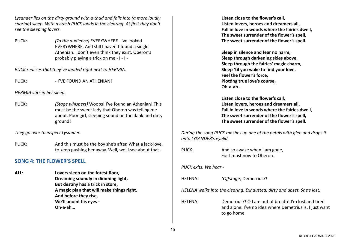*Lysander lies on the dirty ground with a thud and falls into (a more loudly snoring) sleep. With a crash PUCK lands in the clearing. At first they don't see the sleeping lovers.*

PUCK: *(To the audience)* EVERYWHERE. I've looked EVERYWHERE. And still I haven't found a single Athenian. I don't even think they exist. Oberon's probably playing a trick on me - I - I -

*PUCK realises that they've landed right next to HERMIA.*

PUCK: PUCK: PUCK:

*HERMIA stirs in her sleep.*

PUCK: *(Stage whispers)* Woops! I've found an Athenian! This must be the sweet lady that Oberon was telling me about. Poor girl, sleeping sound on the dank and dirty ground!

*They go over to inspect Lysander.*

PUCK: And this must be the boy she's after. What a lack-love, to keep pushing her away. Well, we'll see about that -

# **[SONG 4: THE FLOWER'S SPELL](https://www.bbc.co.uk/teach/school-radio/music-ks2-ks3-school-plays-musicals-a-midsummer-nights-dream-the-flowers-spell/z6nxqfr)**

**ALL: Lovers sleep on the forest floor, Dreaming soundly in dimming light, But destiny has a trick in store, A magic plan that will make things right. And before they rise, We'll anoint his eyes - Oh-a-ah…**

**Listen close to the flower's call, Listen lovers, heroes and dreamers all, Fall in love in woods where the fairies dwell, The sweet surrender of the flower's spell, The sweet surrender of the flower's spell.**

**Sleep in silence and fear no harm, Sleep through darkening skies above, Sleep through the fairies' magic charm, Sleep 'til you wake to find your love. Feel the flower's force, Plotting true love's course, Oh-a-ah…**

**Listen close to the flower's call, Listen lovers, heroes and dreamers all, Fall in love in woods where the fairies dwell, The sweet surrender of the flower's spell, The sweet surrender of the flower's spell.**

*During the song PUCK mashes up one of the petals with glee and drops it onto LYSANDER's eyelid.*

PUCK: And so awake when I am gone, For I must now to Oberon. *PUCK exits. We hear -*  HELENA: *(Offstage)* Demetrius?! *HELENA walks into the clearing. Exhausted, dirty and upset. She's lost.* HELENA: Demetrius?! O I am out of breath! I'm lost and tired and alone. I've no idea where Demetrius is, I just want to go home.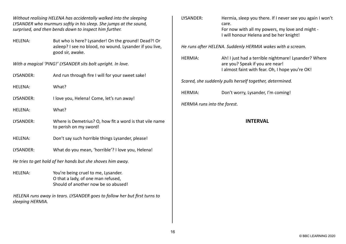*Without realising HELENA has accidentally walked into the sleeping LYSANDER who murmurs softly in his sleep. She jumps at the sound, surprised, and then bends down to inspect him further.*

HELENA: But who is here? Lysander! On the ground! Dead?! Or asleep? I see no blood, no wound. Lysander if you live, good sir, awake.

*With a magical 'PING!' LYSANDER sits bolt upright. In love.*

- LYSANDER: And run through fire I will for your sweet sake!
- HELENA: What?
- LYSANDER: I love you, Helena! Come, let's run away!
- HELENA: What?
- LYSANDER: Where is Demetrius? O, how fit a word is that vile name to perish on my sword!
- HELENA: Don't say such horrible things Lysander, please!
- LYSANDER: What do you mean, 'horrible'? I love you, Helena!

*He tries to get hold of her hands but she shoves him away.*

HELENA: You're being cruel to me, Lysander. O that a lady, of one man refused, Should of another now be so abused!

*HELENA runs away in tears. LYSANDER goes to follow her but first turns to sleeping HERMIA.*

| LYSANDER:                    | Hermia, sleep you there. If I never see you again I won't<br>care.                 |
|------------------------------|------------------------------------------------------------------------------------|
|                              | For now with all my powers, my love and might -                                    |
|                              | I will honour Helena and be her knight!                                            |
|                              | He runs after HELENA. Suddenly HERMIA wakes with a scream.                         |
| <b>HERMIA:</b>               | Ah! I just had a terrible nightmare! Lysander? Where                               |
|                              | are you? Speak if you are near!<br>I almost faint with fear. Oh, I hope you're OK! |
|                              |                                                                                    |
|                              | Scared, she suddenly pulls herself together, determined.                           |
| <b>HERMIA:</b>               | Don't worry, Lysander, I'm coming!                                                 |
| HERMIA runs into the forest. |                                                                                    |
|                              | <b>INTERVAL</b>                                                                    |
|                              |                                                                                    |
|                              |                                                                                    |
|                              |                                                                                    |
|                              |                                                                                    |
|                              |                                                                                    |
|                              |                                                                                    |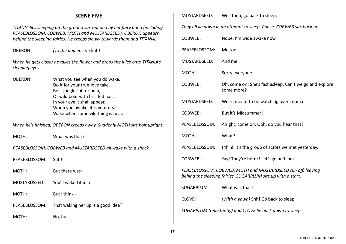## **SCENE FIVE**

*TITANIA lies sleeping on the ground surrounded by her fairy band (including PEASEBLOSSOM, COBWEB, MOTH and MUSTARDSEED). OBERON appears behind the sleeping fairies. He creeps slowly towards them and TITANIA.*

OBERON: *(To the audience)* Shhh!

*When he gets closer he takes the flower and drops the juice onto TITANIA's sleeping eyes.*

OBERON: What you see when you do wake, Do it for your true-love take. Be it jungle cat, or bear, Or wild boar with bristled hair, In your eye it shall appear, When you awake, it is your dear. Wake when some vile thing is near.

*When he's finished, OBERON creeps away. Suddenly MOTH sits bolt upright.*

MOTH: What was that?

*PEASEBLOSSOM, COBWEB and MUSTARDSEED all wake with a shock.*

PFASFBLOSSOM: Shh!

MOTH: But there was -

MUSTARDSEED: You'll wake Titania!

MOTH: But I think -

PEASEBLOSSOM: That waking her up is a good idea?

MOTH: No, but -

MUSTARDSEED: Well then, go back to sleep.

*They all lie down in an attempt to sleep. Pause. COBWEB sits back up.*

| COBWEB:                                                                                                                     | Nope. I'm wide awake now.                                             |  |
|-----------------------------------------------------------------------------------------------------------------------------|-----------------------------------------------------------------------|--|
| PEASEBLOSSOM:                                                                                                               | Me too.                                                               |  |
| MUSTARDSEED:                                                                                                                | And me.                                                               |  |
| MOTH:                                                                                                                       | Sorry everyone.                                                       |  |
| <b>COBWEB:</b>                                                                                                              | Oh, come on! She's fast asleep. Can't we go and explore<br>some more? |  |
| MUSTARDSEED:                                                                                                                | We're meant to be watching over Titania -                             |  |
| <b>COBWEB:</b>                                                                                                              | But it's Midsummer!                                                   |  |
| PEASEBLOSSOM:                                                                                                               | Alright, come on. Ooh, do you hear that?                              |  |
| MOTH:                                                                                                                       | What?                                                                 |  |
| PEASEBLOSSOM:                                                                                                               | I think it's the group of actors we met yesterday.                    |  |
| <b>COBWEB:</b>                                                                                                              | Yay! They're here?! Let's go and look.                                |  |
| PEASEBLOSSOM, COBWEB, MOTH and MUSTARDSEED run off, leaving<br>behind the sleeping fairies. SUGARPLUM sits up with a start. |                                                                       |  |
| <b>SUGARPLUM:</b>                                                                                                           | What was that?                                                        |  |
| CLOVE:                                                                                                                      | (With a yawn) Shh! Go back to sleep.                                  |  |
| SUGARPLUM (reluctantly) and CLOVE lie back down to sleep.                                                                   |                                                                       |  |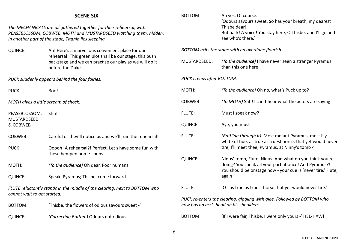| <b>SCENE SIX</b>                                                                                                                                                                                 |                                                                                                                                                                                             | BOTTOM:                   | Ah yes. Of course.<br>'Odours savours sweet. So has your breath, my dearest                                                                                                      |
|--------------------------------------------------------------------------------------------------------------------------------------------------------------------------------------------------|---------------------------------------------------------------------------------------------------------------------------------------------------------------------------------------------|---------------------------|----------------------------------------------------------------------------------------------------------------------------------------------------------------------------------|
| The MECHANICALS are all gathered together for their rehearsal, with<br>PEASEBLOSSOM, COBWEB, MOTH and MUSTARDSEED watching them, hidden.<br>In another part of the stage, Titania lies sleeping. |                                                                                                                                                                                             |                           | Thisbe dear!<br>But hark! A voice! You stay here, O Thisbe, and I'll go and<br>see who's there.'                                                                                 |
| <b>QUINCE:</b>                                                                                                                                                                                   | Ah! Here's a marvellous convenient place for our<br>rehearsal! This green plot shall be our stage, this bush<br>backstage and we can practise our play as we will do it<br>before the Duke. | MUSTARDSEED:              | BOTTOM exits the stage with an overdone flourish.<br>(To the audience) I have never seen a stranger Pyramus<br>than this one here!                                               |
| PUCK suddenly appears behind the four fairies.                                                                                                                                                   |                                                                                                                                                                                             | PUCK creeps after BOTTOM. |                                                                                                                                                                                  |
| PUCK:                                                                                                                                                                                            | Boo!                                                                                                                                                                                        | MOTH:                     | (To the audience) Oh no, what's Puck up to?                                                                                                                                      |
| MOTH gives a little scream of shock.                                                                                                                                                             |                                                                                                                                                                                             | COBWEB:                   | (To MOTH) Shh! I can't hear what the actors are saying -                                                                                                                         |
| PEASEBLOSSOM:<br>MUSTARDSEED                                                                                                                                                                     | Shh!                                                                                                                                                                                        | FLUTE:                    | Must I speak now?                                                                                                                                                                |
| & COBWEB                                                                                                                                                                                         |                                                                                                                                                                                             | <b>QUINCE:</b>            | Aye, you must -                                                                                                                                                                  |
| COBWEB:                                                                                                                                                                                          | Careful or they'll notice us and we'll ruin the rehearsal!                                                                                                                                  | FLUTE:                    | (Rattling through it) 'Most radiant Pyramus, most lily<br>white of hue, as true as truest horse, that yet would never                                                            |
| PUCK:                                                                                                                                                                                            | Ooooh! A rehearsal?! Perfect. Let's have some fun with<br>these hempen home-spuns.                                                                                                          |                           | tire, I'll meet thee, Pyramus, at Ninny's tomb -'                                                                                                                                |
| MOTH:                                                                                                                                                                                            | (To the audience) Oh dear. Poor humans.                                                                                                                                                     | <b>QUINCE:</b>            | Ninus' tomb, Flute, Ninus. And what do you think you're<br>doing? You speak all your part at once! And Pyramus?!<br>You should be onstage now - your cue is 'never tire.' Flute, |
| <b>QUINCE:</b>                                                                                                                                                                                   | Speak, Pyramus; Thisbe, come forward.                                                                                                                                                       |                           | again!                                                                                                                                                                           |
| FLUTE reluctantly stands in the middle of the clearing, next to BOTTOM who<br>cannot wait to get started.                                                                                        |                                                                                                                                                                                             | FLUTE:                    | 'O - as true as truest horse that yet would never tire.'                                                                                                                         |
| <b>BOTTOM:</b>                                                                                                                                                                                   | 'Thisbe, the flowers of odious savours sweet -'                                                                                                                                             |                           | PUCK re-enters the clearing, giggling with glee. Followed by BOTTOM who<br>now has an ass's head on his shoulders.                                                               |
| <b>QUINCE:</b>                                                                                                                                                                                   | (Correcting Bottom) Odours not odious.                                                                                                                                                      | <b>BOTTOM:</b>            | 'If I were fair, Thisbe, I were only yours -' HEE-HAW!                                                                                                                           |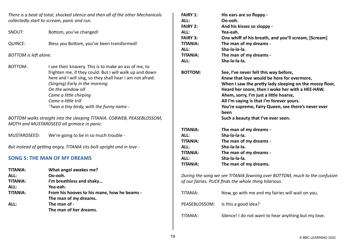*There is a beat of total, shocked silence and then all of the other Mechanicals collectedly start to scream, panic and run.*

SNOUT: Bottom, you've changed! QUINCE: Bless you Bottom, you've been transformed!

*BOTTOM is left alone.*

BOTTOM: I see their knavery. This is to make an ass of me, to frighten me, if they could. But I will walk up and down here and I will sing, so they shall hear I am not afraid. *(Singing) Early in the morning On the window sill Came a little chirping Came a little trill 'Twas a tiny birdy, with the funny name -*

*BOTTOM walks straight into the sleeping TITANIA. COBWEB, PEASEBLOSSOM, MOTH and MUSTARDSEED all grimace in panic.*

MUSTARDSEED: We're going to be in so much trouble -

*But instead of getting angry, TITANIA sits bolt upright and in love -* 

# **[SONG 5: THE MAN OF MY DREAMS](https://www.bbc.co.uk/teach/school-radio/music-ks2-ks3-school-plays-musicals-a-midsummer-nights-dream-the-man-of-my-dreams/zfbstrd)**

| <b>TITANIA:</b> | What angel awakes me?                       |
|-----------------|---------------------------------------------|
| ALL:            | Oo-ooh.                                     |
| <b>TITANIA:</b> | I'm breathless and shaky                    |
| ALL:            | Yea-eah.                                    |
| <b>TITANIA:</b> | From his hooves to his mane, how he beams - |
|                 | The man of my dreams.                       |
| ALL:            | The man of -                                |
|                 | The man of her dreams.                      |

| <b>FAIRY 1:</b><br>ALL:<br><b>FAIRY 2:</b><br>ALL:<br><b>FAIRY 3:</b><br><b>TITANIA:</b><br>ALL:<br><b>TITANIA:</b> | His ears are so floppy -<br>Oo-ooh.<br>And his kisses so sloppy -<br>Yea-eah.<br>One whiff of his breath, and you'll scream, [Scream]<br>The man of my dreams -<br>Sha-la-la-la.<br>The man of my dreams -                                                                                                                                                                                     |
|---------------------------------------------------------------------------------------------------------------------|------------------------------------------------------------------------------------------------------------------------------------------------------------------------------------------------------------------------------------------------------------------------------------------------------------------------------------------------------------------------------------------------|
| ALL:                                                                                                                | Sha-la-la-la.                                                                                                                                                                                                                                                                                                                                                                                  |
| <b>BOTTOM:</b>                                                                                                      | See, I've never felt this way before,<br>Knew that love would be here for evermore,<br>When I saw the pretty lady sleeping on the mossy floor,<br>Heard her snore, then I woke her with a HEE-HAW.<br>Ahem, sorry, I'm just a little hoarse,<br>All I'm saying is that I'm forever yours.<br>You're supreme, Fairy Queen, see there's never ever<br>been<br>Such a beauty that I've ever seen. |
| <b>TITANIA:</b>                                                                                                     | The man of my dreams -                                                                                                                                                                                                                                                                                                                                                                         |
| ALL:                                                                                                                | Sha-la-la-la.                                                                                                                                                                                                                                                                                                                                                                                  |
| <b>TITANIA:</b>                                                                                                     | The man of my dreams -                                                                                                                                                                                                                                                                                                                                                                         |
| ALL:                                                                                                                | Sha-la-la-la.                                                                                                                                                                                                                                                                                                                                                                                  |
| <b>TITANIA:</b>                                                                                                     | The man of my dreams -                                                                                                                                                                                                                                                                                                                                                                         |
| ALL:                                                                                                                | Sha-la-la-la.                                                                                                                                                                                                                                                                                                                                                                                  |
| <b>TITANIA:</b>                                                                                                     | The man of my dreams.                                                                                                                                                                                                                                                                                                                                                                          |

*During the song we see TITANIA fawning over BOTTOM, much to the confusion of our fairies. PUCK finds the whole thing hilarious.*

| TITANIA:      | Now, go with me and my fairies will wait on you.     |
|---------------|------------------------------------------------------|
| PEASEBLOSSOM: | Is this a good idea?                                 |
| TITANIA:      | Silence! I do not want to hear anything but my love. |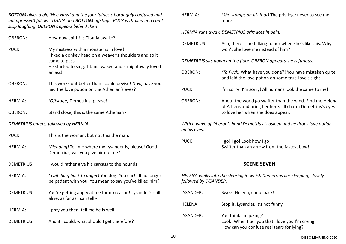*BOTTOM gives a big 'Hee-Haw' and the four fairies (thoroughly confused and unimpressed) follow TITANIA and BOTTOM offstage. PUCK is thrilled and can't stop laughing. OBERON appears behind them.*

| <b>OBERON:</b>                        | How now spirit! Is Titania awake?                                                                                                                                                         |  |
|---------------------------------------|-------------------------------------------------------------------------------------------------------------------------------------------------------------------------------------------|--|
| PUCK:                                 | My mistress with a monster is in love!<br>I fixed a donkey head on a weaver's shoulders and so it<br>came to pass,<br>He started to sing, Titania waked and straightaway loved<br>an ass! |  |
| <b>OBERON:</b>                        | This works out better than I could devise! Now, have you<br>laid the love potion on the Athenian's eyes?                                                                                  |  |
| <b>HERMIA:</b>                        | (Offstage) Demetrius, please!                                                                                                                                                             |  |
| <b>OBERON:</b>                        | Stand close, this is the same Athenian -                                                                                                                                                  |  |
| DEMETRIUS enters, followed by HERMIA. |                                                                                                                                                                                           |  |
| PUCK:                                 | This is the woman, but not this the man.                                                                                                                                                  |  |
|                                       |                                                                                                                                                                                           |  |
| <b>HERMIA:</b>                        | (Pleading) Tell me where my Lysander is, please! Good<br>Demetrius, will you give him to me?                                                                                              |  |
| <b>DEMETRIUS:</b>                     | I would rather give his carcass to the hounds!                                                                                                                                            |  |
| <b>HERMIA:</b>                        | (Switching back to anger) You dog! You cur! I'll no longer<br>be patient with you. You mean to say you've killed him?                                                                     |  |
| <b>DEMETRIUS:</b>                     | You're getting angry at me for no reason! Lysander's still<br>alive, as far as I can tell -                                                                                               |  |
| <b>HERMIA:</b>                        | I pray you then, tell me he is well -                                                                                                                                                     |  |

| <b>HERMIA:</b>        | (She stomps on his foot) The privilege never to see me<br>more!                                                                                           |
|-----------------------|-----------------------------------------------------------------------------------------------------------------------------------------------------------|
|                       | HERMIA runs away. DEMETRIUS grimaces in pain.                                                                                                             |
| <b>DEMETRIUS:</b>     | Ach, there is no talking to her when she's like this. Why<br>won't she love me instead of him?                                                            |
|                       | DEMETRIUS sits down on the floor. OBERON appears, he is furious.                                                                                          |
| <b>OBERON:</b>        | (To Puck) What have you done?! You have mistaken quite<br>and laid the love potion on some true-love's sight!                                             |
| PUCK:                 | I'm sorry! I'm sorry! All humans look the same to me!                                                                                                     |
| <b>OBERON:</b>        | About the wood go swifter than the wind. Find me Helena<br>of Athens and bring her here. I'll charm Demetrius's eyes<br>to love her when she does appear. |
| on his eyes.          | With a wave of Oberon's hand Demetrius is asleep and he drops love potion                                                                                 |
| PUCK:                 | I go! I go! Look how I go!<br>Swifter than an arrow from the fastest bow!                                                                                 |
|                       | <b>SCENE SEVEN</b>                                                                                                                                        |
| followed by LYSANDER. | HELENA walks into the clearing in which Demetrius lies sleeping, closely                                                                                  |
| LYSANDER:             | Sweet Helena, come back!                                                                                                                                  |
| <b>HELENA:</b>        | Stop it, Lysander, it's not funny.                                                                                                                        |
| LYSANDER:             | You think I'm joking?<br>Look! When I tell you that I love you I'm crying.<br>How can you confuse real tears for lying?                                   |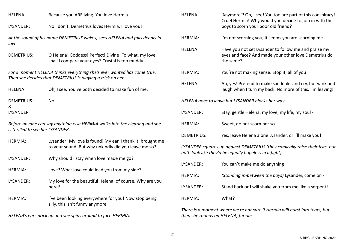| <b>HELENA:</b>                                                                                                                       | Because you ARE lying. You love Hermia.                                                                            |  |
|--------------------------------------------------------------------------------------------------------------------------------------|--------------------------------------------------------------------------------------------------------------------|--|
| LYSANDER:                                                                                                                            | No I don't. Demetrius loves Hermia. I love you!                                                                    |  |
| love.                                                                                                                                | At the sound of his name DEMETRIUS wakes, sees HELENA and falls deeply in                                          |  |
| <b>DEMETRIUS:</b>                                                                                                                    | O Helena! Goddess! Perfect! Divine! To what, my love,<br>shall I compare your eyes? Crystal is too muddy -         |  |
| For a moment HELENA thinks everything she's ever wanted has come true.<br>Then she decides that DEMETRIUS is playing a trick on her. |                                                                                                                    |  |
| <b>HELENA:</b>                                                                                                                       | Oh, I see. You've both decided to make fun of me.                                                                  |  |
| <b>DEMETRIUS:</b><br>&<br><b>LYSANDER</b>                                                                                            | No!                                                                                                                |  |
| Before anyone can say anything else HERMIA walks into the clearing and she<br>is thrilled to see her LYSANDER.                       |                                                                                                                    |  |
| <b>HERMIA:</b>                                                                                                                       | Lysander! My love is found! My ear, I thank it, brought me<br>to your sound. But why unkindly did you leave me so? |  |
| LYSANDER:                                                                                                                            | Why should I stay when love made me go?                                                                            |  |
| <b>HERMIA:</b>                                                                                                                       | Love? What love could lead you from my side?                                                                       |  |
| LYSANDER:                                                                                                                            | My love for the beautiful Helena, of course. Why are you<br>here?                                                  |  |
| <b>HERMIA:</b>                                                                                                                       | I've been looking everywhere for you! Now stop being<br>silly, this isn't funny anymore.                           |  |
| HELENA's ears prick up and she spins around to face HERMIA.                                                                          |                                                                                                                    |  |

| <b>HELENA:</b>                                                                                                                         | 'Anymore'? Oh, I see! You too are part of this conspiracy!<br>Cruel Hermia! Why would you decide to join in with the<br>boys to scorn your poor old friend? |  |
|----------------------------------------------------------------------------------------------------------------------------------------|-------------------------------------------------------------------------------------------------------------------------------------------------------------|--|
| <b>HERMIA:</b>                                                                                                                         | I'm not scorning you, it seems you are scorning me -                                                                                                        |  |
| <b>HELENA:</b>                                                                                                                         | Have you not set Lysander to follow me and praise my<br>eyes and face? And made your other love Demetrius do<br>the same?                                   |  |
| <b>HERMIA:</b>                                                                                                                         | You're not making sense. Stop it, all of you!                                                                                                               |  |
| <b>HELENA:</b>                                                                                                                         | Ah, yes! Pretend to make sad looks and cry, but wink and<br>laugh when I turn my back. No more of this. I'm leaving!                                        |  |
| HELENA goes to leave but LYSANDER blocks her way.                                                                                      |                                                                                                                                                             |  |
| LYSANDER:                                                                                                                              | Stay, gentle Helena, my love, my life, my soul -                                                                                                            |  |
| <b>HERMIA:</b>                                                                                                                         | Sweet, do not scorn her so.                                                                                                                                 |  |
| <b>DEMETRIUS:</b>                                                                                                                      | Yes, leave Helena alone Lysander, or I'll make you!                                                                                                         |  |
| LYSANDER squares up against DEMETRIUS (they comically raise their fists, but<br>both look like they'd be equally hopeless in a fight). |                                                                                                                                                             |  |
| LYSANDER:                                                                                                                              | You can't make me do anything!                                                                                                                              |  |
| <b>HERMIA:</b>                                                                                                                         | (Standing in-between the boys) Lysander, come on -                                                                                                          |  |
| LYSANDER:                                                                                                                              | Stand back or I will shake you from me like a serpent!                                                                                                      |  |
| <b>HERMIA:</b>                                                                                                                         | What?                                                                                                                                                       |  |

*There is a moment where we're not sure if Hermia will burst into tears, but then she rounds on HELENA, furious.*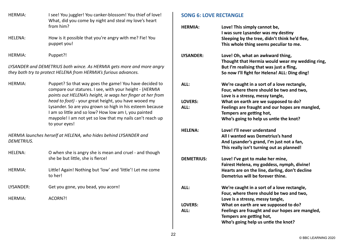| I see! You juggler! You canker-blossom! You thief of love! |
|------------------------------------------------------------|
| What, did you come by night and steal my love's heart      |
| from him?                                                  |
|                                                            |

HELENA: How is it possible that you're angry with me? Fie! You puppet you!

HERMIA: Puppet?!

*LYSANDER and DEMETRIUS both wince. As HERMIA gets more and more angry they both try to protect HELENA from HERMIA's furious advances.*

HERMIA: Puppet? So that way goes the game! You have decided to compare our statures. I see, with your height - (*HERMIA points out HELENA's height, ie wags her finger at her from head to foot) -* your great height, you have wooed my Lysander. So are you grown so high in his esteem because I am so little and so low? How low am I, you painted maypole! I am not yet so low that my nails can't reach up to your eyes!

*HERMIA launches herself at HELENA, who hides behind LYSANDER and DEMETRIUS.*

- HELENA: O when she is angry she is mean and cruel and though she be but little, she is fierce!
- HERMIA: Little! Again! Nothing but 'low' and 'little'! Let me come to her!
- LYSANDER: Get you gone, you bead, you acorn!
- HERMIA: ACORN?!

# **[SONG 6: LOVE RECTANGLE](https://www.bbc.co.uk/teach/school-radio/music-ks2-ks3-school-plays-musicals-a-midsummer-nights-dream-love-rectangle/zr8rvwx)**

| <b>HERMIA:</b>    | Love! This simply cannot be,<br>I was sure Lysander was my destiny<br>Sleeping by the tree, didn't think he'd flee,<br>This whole thing seems peculiar to me.                    |
|-------------------|----------------------------------------------------------------------------------------------------------------------------------------------------------------------------------|
| LYSANDER:         | Love! Oh, what an awkward thing,<br>Thought that Hermia would wear my wedding ring,<br>But I'm realising that was just a fling,<br>So now I'll fight for Helena! ALL: Ding ding! |
| ALL:              | We're caught in a sort of a love rectangle,<br>Four, where there should be two and two,<br>Love is a stressy, messy tangle,                                                      |
| <b>LOVERS:</b>    | What on earth are we supposed to do?                                                                                                                                             |
| ALL:              | Feelings are fraught and our hopes are mangled,                                                                                                                                  |
|                   | Tempers are getting hot,                                                                                                                                                         |
|                   | Who's going to help us untie the knot?                                                                                                                                           |
| <b>HELENA:</b>    | Love! I'll never understand                                                                                                                                                      |
|                   | All I wanted was Demetrius's hand                                                                                                                                                |
|                   | And Lysander's grand, I'm just not a fan,                                                                                                                                        |
|                   | This really isn't turning out as planned!                                                                                                                                        |
| <b>DEMETRIUS:</b> | Love! I've got to make her mine,                                                                                                                                                 |
|                   | Fairest Helena, my goddess, nymph, divine!                                                                                                                                       |
|                   | Hearts are on the line, darling, don't decline                                                                                                                                   |
|                   | Demetrius will be forever thine.                                                                                                                                                 |
| ALL:              | We're caught in a sort of a love rectangle,                                                                                                                                      |
|                   | Four, where there should be two and two,                                                                                                                                         |
|                   | Love is a stressy, messy tangle,                                                                                                                                                 |
| <b>LOVERS:</b>    | What on earth are we supposed to do?                                                                                                                                             |
| ALL:              | Feelings are fraught and our hopes are mangled,                                                                                                                                  |
|                   | Tempers are getting hot,                                                                                                                                                         |
|                   | Who's going help us untie the knot?                                                                                                                                              |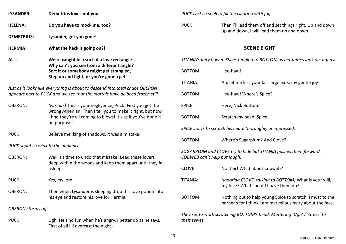| LYSANDER:         | Demetrius loves not you.           |
|-------------------|------------------------------------|
| <b>HELENA:</b>    | Do you have to mock me, too?       |
| <b>DEMETRIUS:</b> | Lysander, get you gone!            |
| <b>HERMIA:</b>    | What the heck is going on?!        |
| ALL:              | We're caught in a sort of a love r |

 $rectangle$ **Why can't you see from a different angle? Sort it or somebody might get strangled, Step up and fight, or you're gonna get -** 

*Just as it looks like everything is about to descend into total chaos OBERON appears next to PUCK and we see that the mortals have all been frozen still.*

OBERON: *(Furious)* This is your negligence, Puck! First you get the wrong Athenian. Then I tell you to make it right, but now I find they're all coming to blows! It's as if you've done it on purpose!

PUCK: Believe me, king of shadows, it was a mistake!

*PUCK shoots a wink to the audience.*

OBERON: Well it's time to undo that mistake! Lead these lovers deep within the woods and keep them apart until they fall asleep.

PUCK: Yes, my lord.

OBERON: Then when Lysander is sleeping drop this love potion into his eye and restore his love for Hermia.

*OBERON storms off.*

PUCK: Ugh. He's no fun when he's angry. I better do as he says. First of all I'll overcast the night -

*PUCK casts a spell to fill the clearing with fog.*

PUCK: Then I'll lead them off and set things right. Up and down, up and down, I will lead them up and down.

# **SCENE EIGHT**

*TITANIA's fairy bower. She is tending to BOTTOM as her fairies look on, aghast.*

| <b>BOTTOM:</b>                                                                                   | Hee-haw!                                                                                                                |  |
|--------------------------------------------------------------------------------------------------|-------------------------------------------------------------------------------------------------------------------------|--|
| TITANIA:                                                                                         | Ah, let me kiss your fair large ears, my gentle joy!                                                                    |  |
| <b>BOTTOM:</b>                                                                                   | Hee-haw! Where's Spice?                                                                                                 |  |
| SPICE:                                                                                           | Here, Nick Bottom.                                                                                                      |  |
| <b>BOTTOM:</b>                                                                                   | Scratch my head, Spice.                                                                                                 |  |
|                                                                                                  | SPICE starts to scratch his head, thoroughly unimpressed.                                                               |  |
| <b>BOTTOM:</b>                                                                                   | Where's Sugarplum? And Clove?                                                                                           |  |
| SUGARPLUM and CLOVE try to hide but TITANIA pushes them forward.<br>COBWEB can't help but laugh. |                                                                                                                         |  |
| CLOVE:                                                                                           | Not fair! What about Cobweb?                                                                                            |  |
| TITANIA:                                                                                         | (Ignoring CLOVE, talking to BOTTOM) What is your will,<br>my love? What should I have them do?                          |  |
| <b>BOTTOM:</b>                                                                                   | Nothing but to help young Spice to scratch. I must to the<br>barber's for I think I am marvellous hairy about the face. |  |
|                                                                                                  | They set to work scratching BOTTOM's head. Muttering 'Uah' / 'Gross' to                                                 |  |

*They set to work scratching BOTTOM's head. Muttering 'Ugh' / 'Gross' to themselves.*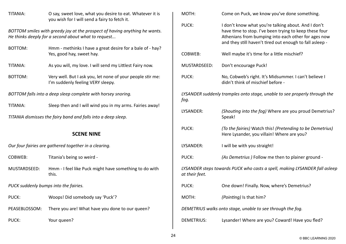| TITANIA:                              | O say, sweet love, what you desire to eat. Whatever it is<br>you wish for I will send a fairy to fetch it.                        | <b>MOTH</b>       |
|---------------------------------------|-----------------------------------------------------------------------------------------------------------------------------------|-------------------|
|                                       | BOTTOM smiles with greedy joy at the prospect of having anything he wants.<br>He thinks deeply for a second about what to request | PUCK:             |
| <b>BOTTOM:</b>                        | Hmm - methinks I have a great desire for a bale of - hay?<br>Yes, good hay, sweet hay.                                            | <b>COBW</b>       |
| TITANIA:                              | As you will, my love. I will send my Littlest Fairy now.                                                                          | MUST/             |
| <b>BOTTOM:</b>                        | Very well. But I ask you, let none of your people stir me:<br>I'm suddenly feeling VERY sleepy.                                   | PUCK:             |
|                                       | BOTTOM falls into a deep sleep complete with horsey snoring.                                                                      | LYSAN             |
| TITANIA:                              | Sleep then and I will wind you in my arms. Fairies away!                                                                          | fog.              |
|                                       | TITANIA dismisses the fairy band and falls into a deep sleep.                                                                     | <b>LYSAN</b>      |
|                                       | <b>SCENE NINE</b>                                                                                                                 | PUCK:             |
|                                       | Our four fairies are gathered together in a clearing.                                                                             | <b>LYSAN</b>      |
| <b>COBWEB:</b>                        | Titania's being so weird -                                                                                                        | PUCK:             |
| MUSTARDSEED:                          | Hmm - I feel like Puck might have something to do with<br>this.                                                                   | LYSAN<br>at thei  |
| PUCK suddenly bumps into the fairies. |                                                                                                                                   | PUCK:             |
| PUCK:                                 | Woops! Did somebody say 'Puck'?                                                                                                   | <b>MOTH</b>       |
| PEASEBLOSSOM:                         | There you are! What have you done to our queen?                                                                                   | <b>DEME</b>       |
| PUCK:                                 | Your queen?                                                                                                                       | DEME <sup>-</sup> |

| MOTH:             | Come on Puck, we know you've done something.                                                                                                                                                                                     |
|-------------------|----------------------------------------------------------------------------------------------------------------------------------------------------------------------------------------------------------------------------------|
| PUCK:             | I don't know what you're talking about. And I don't<br>have time to stop. I've been trying to keep these four<br>Athenians from bumping into each other for ages now<br>and they still haven't tired out enough to fall asleep - |
| <b>COBWEB:</b>    | Well maybe it's time for a little mischief?                                                                                                                                                                                      |
| MUSTARDSEED:      | Don't encourage Puck!                                                                                                                                                                                                            |
| PUCK:             | No, Cobweb's right. It's Midsummer. I can't believe I<br>didn't think of mischief before -                                                                                                                                       |
| fog.              | LYSANDER suddenly tramples onto stage, unable to see properly through the                                                                                                                                                        |
| LYSANDER:         | (Shouting into the fog) Where are you proud Demetrius?<br>Speak!                                                                                                                                                                 |
| PUCK:             | (To the fairies) Watch this! (Pretending to be Demetrius)<br>Here Lysander, you villain! Where are you?                                                                                                                          |
| LYSANDER:         | I will be with you straight!                                                                                                                                                                                                     |
| PUCK:             | (As Demetrius) Follow me then to plainer ground -                                                                                                                                                                                |
| at their feet.    | LYSANDER steps towards PUCK who casts a spell, making LYSANDER fall asleep                                                                                                                                                       |
| PUCK:             | One down! Finally. Now, where's Demetrius?                                                                                                                                                                                       |
| MOTH:             | (Pointing) Is that him?                                                                                                                                                                                                          |
|                   | DEMETRIUS walks onto stage, unable to see through the fog.                                                                                                                                                                       |
| <b>DEMETRIUS:</b> | Lysander! Where are you? Coward! Have you fled?                                                                                                                                                                                  |

 $\overline{\phantom{a}}$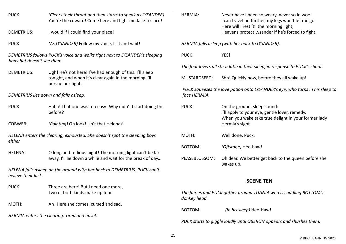| PUCK:                                 | (Clears their throat and then starts to speak as LYSANDER)<br>You're the coward! Come here and fight me face-to-face!                  | <b>HERMIA:</b> | Never have I been so weary, never so in woe!<br>I can travel no further, my legs won't let me go.<br>Here will I rest 'til the morning light, |
|---------------------------------------|----------------------------------------------------------------------------------------------------------------------------------------|----------------|-----------------------------------------------------------------------------------------------------------------------------------------------|
| <b>DEMETRIUS:</b>                     | I would if I could find your place!                                                                                                    |                | Heavens protect Lysander if he's forced to fight.                                                                                             |
| PUCK:                                 | (As LYSANDER) Follow my voice, I sit and wait!                                                                                         |                | HERMIA falls asleep (with her back to LYSANDER).                                                                                              |
| body but doesn't see them.            | DEMETRIUS follows PUCK's voice and walks right next to LYSANDER's sleeping                                                             | PUCK:          | YES!                                                                                                                                          |
|                                       |                                                                                                                                        |                | The four lovers all stir a little in their sleep, in response to PUCK's shout.                                                                |
| <b>DEMETRIUS:</b>                     | Ugh! He's not here! I've had enough of this. I'll sleep<br>tonight, and when it's clear again in the morning I'll<br>pursue our fight. | MUSTARDSEED:   | Shh! Quickly now, before they all wake up!                                                                                                    |
| DEMETRIUS lies down and falls asleep. |                                                                                                                                        | face HERMIA.   | PUCK squeezes the love potion onto LYSANDER's eye, who turns in his sleep to                                                                  |
| PUCK:                                 | Haha! That one was too easy! Why didn't I start doing this<br>before?                                                                  | PUCK:          | On the ground, sleep sound:<br>I'll apply to your eye, gentle lover, remedy,<br>When you wake take true delight in your former lady           |
| COBWEB:                               | (Pointing) Oh look! Isn't that Helena?                                                                                                 |                | Hermia's sight.                                                                                                                               |
| either.                               | HELENA enters the clearing, exhausted. She doesn't spot the sleeping boys                                                              | MOTH:          | Well done, Puck.                                                                                                                              |
|                                       |                                                                                                                                        | <b>BOTTOM:</b> | (Offstage) Hee-haw!                                                                                                                           |
| <b>HELENA:</b>                        | O long and tedious night! The morning light can't be far                                                                               |                |                                                                                                                                               |
|                                       | away, I'll lie down a while and wait for the break of day                                                                              | PEASEBLOSSOM:  | Oh dear. We better get back to the queen before she<br>wakes up.                                                                              |
| believe their luck.                   | HELENA falls asleep on the ground with her back to DEMETRIUS. PUCK can't                                                               |                |                                                                                                                                               |
|                                       |                                                                                                                                        |                | <b>SCENE TEN</b>                                                                                                                              |
| PUCK:                                 | Three are here! But I need one more,                                                                                                   |                |                                                                                                                                               |
|                                       | Two of both kinds make up four.                                                                                                        | donkey head.   | The fairies and PUCK gather around TITANIA who is cuddling BOTTOM's                                                                           |
| MOTH:                                 | Ah! Here she comes, cursed and sad.                                                                                                    |                |                                                                                                                                               |
|                                       | HERMIA enters the clearing. Tired and upset.                                                                                           | <b>BOTTOM:</b> | (In his sleep) Hee-Haw!                                                                                                                       |
|                                       |                                                                                                                                        |                | PUCK starts to giggle loudly until OBERON appears and shushes them.                                                                           |
|                                       |                                                                                                                                        |                |                                                                                                                                               |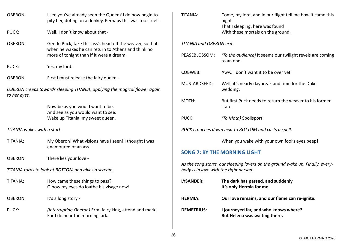| <b>OBERON:</b>                                      | I see you've already seen the Queen? I do now begin to<br>pity her, doting on a donkey. Perhaps this was too cruel -                                        |  |
|-----------------------------------------------------|-------------------------------------------------------------------------------------------------------------------------------------------------------------|--|
| PUCK:                                               | Well, I don't know about that -                                                                                                                             |  |
| <b>OBERON:</b>                                      | Gentle Puck, take this ass's head off the weaver, so that<br>when he wakes he can return to Athens and think no<br>more of tonight than if it were a dream. |  |
| PUCK:                                               | Yes, my lord.                                                                                                                                               |  |
| <b>OBERON:</b>                                      | First I must release the fairy queen -                                                                                                                      |  |
| to her eyes.                                        | OBERON creeps towards sleeping TITANIA, applying the magical flower again                                                                                   |  |
|                                                     | Now be as you would want to be,<br>And see as you would want to see.<br>Wake up Titania, my sweet queen.                                                    |  |
| TITANIA wakes with a start.                         |                                                                                                                                                             |  |
| TITANIA:                                            | My Oberon! What visions have I seen! I thought I was<br>enamoured of an ass!                                                                                |  |
| <b>OBERON:</b>                                      | There lies your love -                                                                                                                                      |  |
| TITANIA turns to look at BOTTOM and gives a scream. |                                                                                                                                                             |  |
| TITANIA:                                            | How came these things to pass?<br>O how my eyes do loathe his visage now!                                                                                   |  |
| <b>OBERON:</b>                                      | It's a long story -                                                                                                                                         |  |
| PUCK:                                               | (Interrupting Oberon) Erm, fairy king, attend and mark,<br>For I do hear the morning lark.                                                                  |  |
|                                                     |                                                                                                                                                             |  |

| TITANIA:                        | Come, my lord, and in our flight tell me how it came this<br>night<br>That I sleeping, here was found<br>With these mortals on the ground. |
|---------------------------------|--------------------------------------------------------------------------------------------------------------------------------------------|
| <b>TITANIA and OBERON exit.</b> |                                                                                                                                            |
| PEASEBLOSSOM:                   | (To the audience) It seems our twilight revels are coming<br>to an end.                                                                    |
| COBWFB:                         | Aww. I don't want it to be over yet.                                                                                                       |
| MUSTARDSEED:                    | Well, it's nearly daybreak and time for the Duke's<br>wedding.                                                                             |
| MOTH:                           | But first Puck needs to return the weaver to his former<br>state.                                                                          |
| PUCK:                           | <i>(To Moth)</i> Spoilsport.                                                                                                               |
|                                 | PUCK crouches down next to BOTTOM and casts a spell.                                                                                       |
|                                 | When you wake with your own fool's eyes peep!                                                                                              |

# **[SONG 7: BY THE MORNING LIGHT](https://www.bbc.co.uk/teach/school-radio/music-ks2-ks3-school-plays-musicals-a-midsummer-nights-dream-by-the-morning-light/z878cmn)**

*As the song starts, our sleeping lovers on the ground wake up. Finally, everybody is in love with the right person.*

| LYSANDER:         | The dark has passed, and suddenly<br>It's only Hermia for me.          |
|-------------------|------------------------------------------------------------------------|
| <b>HERMIA:</b>    | Our love remains, and our flame can re-ignite.                         |
| <b>DEMETRIUS:</b> | I journeyed far, and who knows where?<br>But Helena was waiting there. |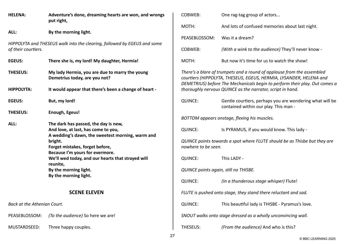| <b>HELENA:</b>              | Adventure's done, dreaming hearts are won, and wrongs<br>put right,                                                             | COBWEB:                               | One rag-tag group of actors                                                                                                                                                                                                |
|-----------------------------|---------------------------------------------------------------------------------------------------------------------------------|---------------------------------------|----------------------------------------------------------------------------------------------------------------------------------------------------------------------------------------------------------------------------|
| ALL:                        | By the morning light.                                                                                                           | MOTH:                                 | And lots of confused memories about last night.                                                                                                                                                                            |
|                             |                                                                                                                                 | PEASEBLOSSOM:                         | Was it a dream?                                                                                                                                                                                                            |
| of their courtiers.         | HIPPOLYTA and THESEUS walk into the clearing, followed by EGEUS and some                                                        | COBWEB:                               | (With a wink to the audience) They'll never know -                                                                                                                                                                         |
| <b>EGEUS:</b>               | There she is, my lord! My daughter, Hermia!                                                                                     | MOTH:                                 | But now it's time for us to watch the show!                                                                                                                                                                                |
| <b>THESEUS:</b>             | My lady Hermia, you are due to marry the young<br>Demetrius today, are you not?                                                 |                                       | There's a blare of trumpets and a round of applause from the assembled<br>courtiers (HIPPOLYTA, THESEUS, EGEUS, HERMIA, LYSANDER, HELENA and<br>DEMETRIUS) before The Mechanicals begin to perform their play. Out comes a |
| <b>HIPPOLYTA:</b>           | It would appear that there's been a change of heart -                                                                           |                                       | thoroughly nervous QUINCE as the narrator, script in hand.                                                                                                                                                                 |
| <b>EGEUS:</b>               | But, my lord!                                                                                                                   | <b>QUINCE:</b>                        | Gentle courtiers, perhaps you are wondering what will be<br>contained within our play. This man -                                                                                                                          |
| <b>THESEUS:</b>             | Enough, Egeus!                                                                                                                  |                                       | BOTTOM appears onstage, flexing his muscles.                                                                                                                                                                               |
| ALL:                        | The dark has passed, the day is new,<br>And love, at last, has come to you,<br>A wedding's dawn, the sweetest morning, warm and | <b>QUINCE:</b>                        | Is PYRAMUS, if you would know. This lady -                                                                                                                                                                                 |
|                             | bright.<br>Forget mistakes, forget before,                                                                                      | nowhere to be seen.                   | QUINCE points towards a spot where FLUTE should be as Thisbe but they are                                                                                                                                                  |
|                             | Because I'm yours for evermore.<br>We'll wed today, and our hearts that strayed will<br>reunite,                                | <b>QUINCE:</b>                        | This LADY -                                                                                                                                                                                                                |
|                             | By the morning light.                                                                                                           | QUINCE points again, still no THISBE. |                                                                                                                                                                                                                            |
|                             | By the morning light.                                                                                                           | <b>QUINCE:</b>                        | (In a thunderous stage whisper) Flute!                                                                                                                                                                                     |
| <b>SCENE ELEVEN</b>         |                                                                                                                                 |                                       | FLUTE is pushed onto stage, they stand there reluctant and sad.                                                                                                                                                            |
| Back at the Athenian Court. |                                                                                                                                 | <b>QUINCE:</b>                        | This beautiful lady is THISBE - Pyramus's love.                                                                                                                                                                            |
| PEASEBLOSSOM:               | (To the audience) So here we are!                                                                                               |                                       | SNOUT walks onto stage dressed as a wholly unconvincing wall.                                                                                                                                                              |
| MUSTARDSEED:                | Three happy couples.                                                                                                            | THESEUS:                              | (From the audience) And who is this?                                                                                                                                                                                       |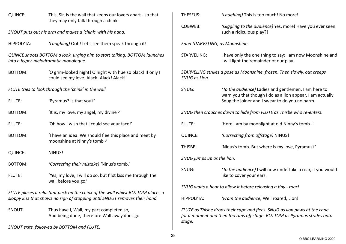| <b>QUINCE:</b>    | This, Sir, is the wall that keeps our lovers apart - so that<br>they may only talk through a chink.                                                         | THESEUS:                   | (Laughing) This is too much! No more!                                                                                                                 |
|-------------------|-------------------------------------------------------------------------------------------------------------------------------------------------------------|----------------------------|-------------------------------------------------------------------------------------------------------------------------------------------------------|
|                   | SNOUT puts out his arm and makes a 'chink' with his hand.                                                                                                   | COBWEB:                    | (Giggling to the audience) Yes, more! Have you ever seen<br>such a ridiculous play?!                                                                  |
| <b>HIPPOLYTA:</b> | (Laughing) Ooh! Let's see them speak through it!                                                                                                            |                            | Enter STARVELING, as Moonshine.                                                                                                                       |
|                   | QUINCE shoots BOTTOM a look, urging him to start talking. BOTTOM launches<br>into a hyper-melodramatic monologue.                                           | <b>STARVELING:</b>         | I have only the one thing to say: I am now Moonshine and<br>I will light the remainder of our play.                                                   |
| BOTTOM:           | 'O grim-looked night! O night with hue so black! If only I<br>could see my love. Alack! Alack! Alack!'                                                      | SNUG as Lion.              | STARVELING strikes a pose as Moonshine, frozen. Then slowly, out creeps                                                                               |
|                   | FLUTE tries to look through the 'chink' in the wall.                                                                                                        | SNUG:                      | (To the audience) Ladies and gentlemen, I am here to<br>warn you that though I do as a lion appear, I am actually                                     |
| FLUTE:            | 'Pyramus? Is that you?'                                                                                                                                     |                            | Snug the joiner and I swear to do you no harm!                                                                                                        |
| BOTTOM:           | 'It is, my love, my angel, my divine -'                                                                                                                     |                            | SNUG then crouches down to hide from FLUTE as Thisbe who re-enters.                                                                                   |
| FLUTE:            | 'Oh how I wish that I could see your face!'                                                                                                                 | FLUTE:                     | 'Here I am by moonlight at old Ninny's tomb -'                                                                                                        |
| <b>BOTTOM:</b>    | 'I have an idea. We should flee this place and meet by<br>moonshine at Ninny's tomb -'                                                                      | <b>QUINCE:</b>             | (Correcting from offstage) NINUS!                                                                                                                     |
| <b>QUINCE:</b>    | NINUS!                                                                                                                                                      | THISBE:                    | 'Ninus's tomb. But where is my love, Pyramus?'                                                                                                        |
|                   |                                                                                                                                                             | SNUG jumps up as the lion. |                                                                                                                                                       |
| BOTTOM:           | (Correcting their mistake) 'Ninus's tomb.'                                                                                                                  | SNUG:                      | (To the audience) I will now undertake a roar, if you would                                                                                           |
| FLUTE:            | 'Yes, my love, I will do so, but first kiss me through the<br>wall before you go.'                                                                          |                            | like to cover your ears.                                                                                                                              |
|                   |                                                                                                                                                             |                            | SNUG waits a beat to allow it before releasing a tiny - roar!                                                                                         |
|                   | FLUTE places a reluctant peck on the chink of the wall whilst BOTTOM places a<br>sloppy kiss that shows no sign of stopping until SNOUT removes their hand. | <b>HIPPOLYTA:</b>          | (From the audience) Well roared, Lion!                                                                                                                |
| SNOUT:            | Thus have I, Wall, my part completed so,<br>And being done, therefore Wall away does go.                                                                    | stage.                     | FLUTE as Thisbe drops their cape and flees. SNUG as lion paws at the cape<br>for a moment and then too runs off stage. BOTTOM as Pyramus strides onto |
|                   | SNOUT exits, followed by BOTTOM and FLUTE.                                                                                                                  |                            |                                                                                                                                                       |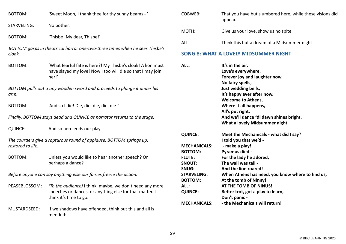BOTTOM: 'Sweet Moon, I thank thee for thy sunny beams -'

STARVELING: No bother.

BOTTOM: 'Thisbe! My dear, Thisbe!'

*BOTTOM gasps in theatrical horror one-two-three times when he sees Thisbe's cloak.*

BOTTOM: 'What fearful fate is here?! My Thisbe's cloak! A lion must have slayed my love! Now I too will die so that I may join her!'

*BOTTOM pulls out a tiny wooden sword and proceeds to plunge it under his arm.*

BOTTOM: 'And so I die! Die, die, die, die, die!'

*Finally, BOTTOM stays dead and QUINCE as narrator returns to the stage.*

QUINCE: And so here ends our play -

*The courtiers give a rapturous round of applause. BOTTOM springs up, restored to life.*

BOTTOM: Unless you would like to hear another speech? Or perhaps a dance?

*Before anyone can say anything else our fairies freeze the action.*

- PEASEBLOSSOM: *(To the audience)* I think, maybe, we don't need any more speeches or dances, or anything else for that matter. I think it's time to go.
- MUSTARDSEED: If we shadows have offended, think but this and all is mended:

| COBWEB: | That you have but slumbered here, while these visions did<br>appear. |
|---------|----------------------------------------------------------------------|
| MOTH:   | Give us your love, show us no spite,                                 |
| ALL:    | Think this but a dream of a Midsummer night!                         |

## **[SONG 8: WHAT A LOVELY MIDSUMMER NIGHT](https://www.bbc.co.uk/teach/school-radio/music-ks2-ks3-school-plays-musicals-a-midsummer-nights-dream-what-a-lovely-midsummer-night/zmpmjsg)**

| ALL:                 | It's in the air,                                 |
|----------------------|--------------------------------------------------|
|                      | Love's everywhere,                               |
|                      | Forever joy and laughter now.                    |
|                      | No fairy spells,                                 |
|                      | Just wedding bells,                              |
|                      | It's happy ever after now.                       |
|                      | <b>Welcome to Athens,</b>                        |
|                      | Where it all happens,                            |
|                      | All's put right,                                 |
|                      | And we'll dance 'til dawn shines bright,         |
|                      | What a lovely Midsummer night.                   |
| <b>QUINCE:</b>       | Meet the Mechanicals - what did I say?           |
|                      | I told you that we'd -                           |
| <b>MECHANICALS:</b>  | - make a play!                                   |
| <b>BOTTOM:</b>       | Pyramus died -                                   |
| <b>FLUTE:</b>        | For the lady he adored,                          |
| <b>SNOUT:</b>        | The wall was tall -                              |
| <b>SNUG:</b>         | And the lion roared!                             |
| <b>STARVELING:</b>   | When Athens has need, you know where to find us, |
| <b>BOTTOM:</b>       | At the tomb of Ninny!                            |
| ALL:                 | AT THE TOMB OF NINUS!                            |
| <b>QUINCE:</b>       | Better trot, got a play to learn,                |
|                      | Don't panic -                                    |
| , 82011 & 8110 & 1.0 | at a massive charter of the community            |

**MECHANICALS: - the Mechanicals will return!**